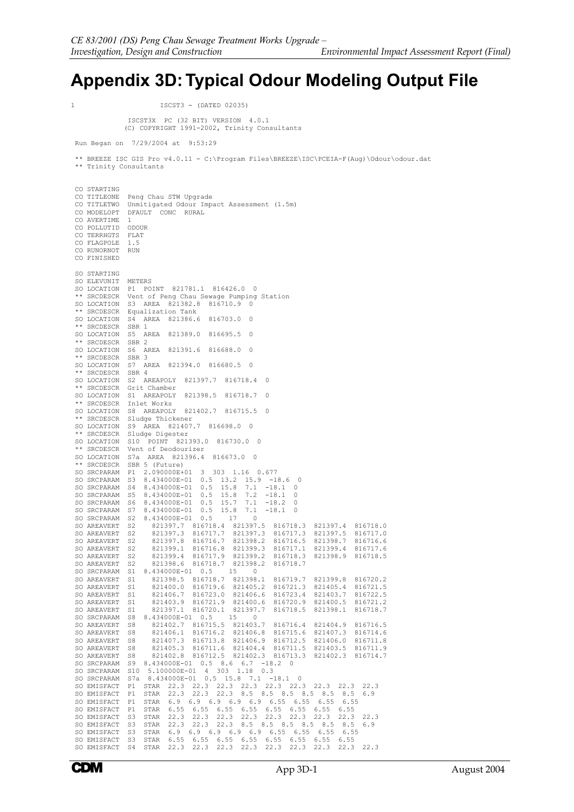1 ISCST3 - (DATED 02035)

## **Appendix 3D: Typical Odour Modeling Output File**

 ISCST3X PC (32 BIT) VERSION 4.0.1 (C) COPYRIGHT 1991-2002, Trinity Consultants Run Began on 7/29/2004 at 9:53:29 \*\* BREEZE ISC GIS Pro v4.0.11 - C:\Program Files\BREEZE\ISC\PCEIA-F(Aug)\Odour\odour.dat \*\* Trinity Consultants CO STARTING CO TITLEONE Peng Chau STW Upgrade<br>CO TITLETWO Upmitigated Odour Imp CO TITLETWO Unmitigated Odour Impact Assessment (1.5m) DFAULT CONC RURAL CO AVERTIME 1<br>CO POLLUTID ODOUR CO POLLUTID CO TERRHGTS FLAT CO FLAGPOLE 1.5<br>CO RUNORNOT RUN CO RUNORNOT CO FINISHED SO STARTING SO ELEVUNIT METERS SO LOCATION P1 POINT 821781.1 816426.0 0 \*\* SRCDESCR Vent of Peng Chau Sewage Pumping Station SO LOCATION S3 AREA 821382.8 816710.9 0 \*\* SRCDESCR Equalization Tank S4 AREA 821386.6 816703.0 0 \*\* SRCDESCR SBR 1 SO LOCATION S5 AREA 821389.0 816695.5 0 \*\* SRCDESCR SBR 2 SO LOCATION S6 AREA 821391.6 816688.0 0  $**$  SRCDESCR SO LOCATION S7 AREA 821394.0 816680.5 0  $**$  SRCDESCR SO LOCATION S2 AREAPOLY 821397.7 816718.4 0 \*\* SRCDESCR Grit Chamber SO LOCATION S1 AREAPOLY 821398.5 816718.7 0 \*\* SRCDESCR Inlet Works SO LOCATION S8 AREAPOLY 821402.7 816715.5 0 \*\* SRCDESCR Sludge Thickener SO LOCATION S9 AREA 821407.7 816698.0 0 SRCDESCR Sludge Digester SO LOCATION S10 POINT 821393.0 816730.0 0 \*\* SRCDESCR Vent of Deodourizer SO LOCATION S7a AREA 821396.4 816673.0 0 \*\* SRCDESCR SBR 5 (Future) SO SRCPARAM P1 2.090000E+01 3 303 1.16 0.677 SO SRCPARAM S3 8.434000E-01 0.5 13.2 15.9 -18.6 0 SO SRCPARAM S4 8.434000E-01 0.5 15.8 7.1 -18.1 0 SO SRCPARAM S5 8.434000E-01 0.5 15.8 7.2 -18.1 0 SO SRCPARAM S6 8.434000E-01 0.5 15.7 7.1 -18.2 0 SO SRCPARAM S7 8.434000E-01 0.5 15.8 7.1 -18.1 0 SO SRCPARAM S2 8.434000E-01 0.5 17 0 SO AREAVERT S2 821397.7 816718.4 821397.5 816718.3 821397.4 816718.0 SO AREAVERT S2 821397.3 816717.7 821397.3 816717.3 821397.5 816717.0 SO AREAVERT S2 821397.8 816716.7 821398.2 816716.5 821398.7 816716.6 SO AREAVERT S2 821399.1 816716.8 821399.3 816717.1 821399.4 816717.6 SO AREAVERT S2 821399.4 816717.9 821399.2 816718.3 821398.9 816718.5 SO AREAVERT S2 821398.6 816718.7 821398.2 816718.7<br>SO SRCPARAM S1 8.434000E-01 0.5 15 0<br>SO AREAVERT S1 821398.5 816718.7 821398.1 816719.7 821399.8 816720.2<br>SO AREAVERT S1 821400.0 816719.6 821405.2 816721.3 821405.4 81672 SO AREAVERT S1 821403.9 816721.9 821400.6 816720.9 821400.5 816721.2 SO AREAVERT S1 821397.1 816720.1 821397.7 816718.5 821398.1 816718.7 SO SRCPARAM S8 8.434000E-01 0.5 15 0 SO AREAVERT S8 821402.7 816715.5 821403.7 816716.4 821404.9 816716.5 SO AREAVERT S8 821406.1 816716.2 821406.8 816715.6 821407.3 816714.6 SO AREAVERT S8 821407.3 816713.8 821406.9 816712.5 821406.0 816711.8 SO AREAVERT S8 821405.3 816711.6 821404.4 816711.5 821403.5 816711.9 SO AREAVERT S8 821402.8 816712.5 821402.3 816713.3 821402.3 816714.7 SO SRCPARAM S9 8.434000E-01 0.5 8.6 6.7 -18.2 0 SO SRCPARAM S10 5.100000E-01 4 303 1.18 0.3 SO SRCPARAM S7a 8.434000E-01 0.5 15.8 7.1 -18.1 0 SO EMISFACT P1 STAR 22.3 22.3 22.3 22.3 22.3 22.3 22.3 22.3 22.3 SO EMISFACT P1 STAR 22.3 22.3 22.3 8.5 8.5 8.5 8.5 8.5 8.5 6.9 SO EMISFACT P1 STAR 6.9 6.9 6.9 6.9 6.9 6.55 6.55 6.55 6.55 SO EMISFACT P1 STAR 6.55 6.55 6.55 6.55 6.55 6.55 6.55 6.55 SO EMISFACT S3 STAR 22.3 22.3 22.3 22.3 22.3 22.3 22.3 22.3 22.3 SO EMISFACT S3 STAR 22.3 22.3 22.3 8.5 8.5 8.5 8.5 8.5 8.5 6.9 SO EMISFACT S3 STAR 6.9 6.9 6.9 6.9 6.9 6.55 6.55 6.55 6.55 SO EMISFACT S3 STAR 6.55 6.55 6.55 6.55 6.55 6.55 6.55 6.55 SO EMISFACT S4 STAR 22.3 22.3 22.3 22.3 22.3 22.3 22.3 22.3 22.3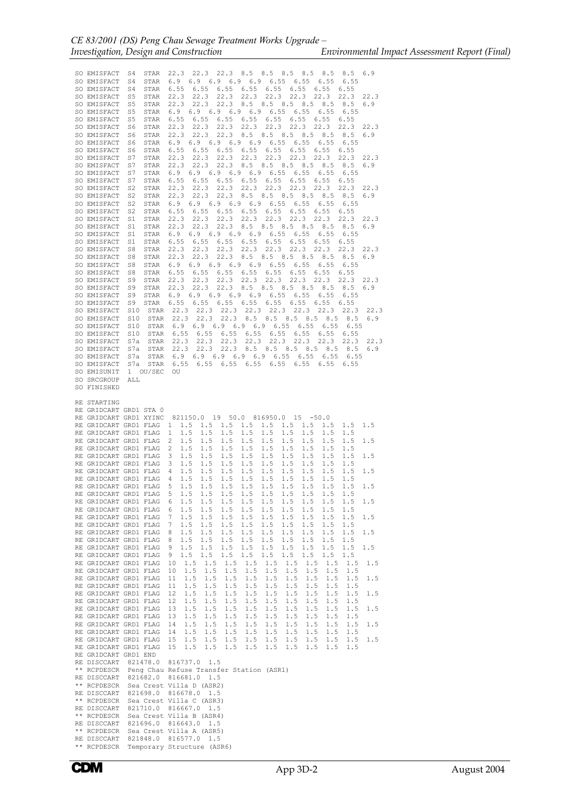SO EMISFACT S4 STAR 22.3 22.3 22.3 8.5 8.5 8.5 8.5 8.5 8.5 6.9 SO EMISFACT S4 STAR 6.9 6.9 6.9 6.9 6.9 6.55 6.55 6.55 6.55 SO EMISFACT S4 STAR 6.55 6.55 6.55 6.55 6.55 6.55 6.55 6.55 SO EMISFACT S5 STAR 22.3 22.3 22.3 22.3 22.3 22.3 22.3 22.3 22.3 SO EMISFACT S5 STAR 22.3 22.3 22.3 8.5 8.5 8.5 8.5 8.5 8.5 6.9 SO EMISFACT S5 STAR 6.9 6.9 6.9 6.9 6.9 6.55 6.55 6.55 6.55 SO EMISFACT S5 STAR 6.55 6.55 6.55 6.55 6.55 6.55 6.55 6.55 SO EMISFACT S6 STAR 22.3 22.3 22.3 22.3 22.3 22.3 22.3 22.3 22.3 SO EMISFACT S6 STAR 22.3 22.3 22.3 8.5 8.5 8.5 8.5 8.5 8.5 6.9 SO EMISFACT S6 STAR 6.9 6.9 6.9 6.9 6.9 6.55 6.55 6.55 6.55 SO EMISFACT S6 STAR 6.55 6.55 6.55 6.55 6.55 6.55 6.55 6.55 SO EMISFACT S7 STAR 22.3 22.3 22.3 22.3 22.3 22.3 22.3 22.3 22.3 SO EMISFACT S7 STAR 22.3 22.3 22.3 8.5 8.5 8.5 8.5 8.5 8.5 6.9 SO EMISFACT S7 STAR 6.9 6.9 6.9 6.9 6.9 6.55 6.55 6.55 6.55 SO EMISFACT S7 STAR 6.55 6.55 6.55 6.55 6.55 6.55 6.55 6.55 SO EMISFACT S2 STAR 22.3 22.3 22.3 22.3 22.3 22.3 22.3 22.3 22.3 SO EMISFACT S2 STAR 22.3 22.3 22.3 8.5 8.5 8.5 8.5 8.5 8.5 6.9 SO EMISFACT S2 STAR 6.9 6.9 6.9 6.9 6.9 6.55 6.55 6.55 6.55 SO EMISFACT S2 STAR 6.55 6.55 6.55 6.55 6.55 6.55 6.55 6.55 SO EMISFACT S1 STAR 22.3 22.3 22.3 22.3 22.3 22.3 22.3 22.3 22.3 SO EMISFACT S1 STAR 22.3 22.3 22.3 8.5 8.5 8.5 8.5 8.5 8.5 6.9 SO EMISFACT S1 STAR 6.9 6.9 6.9 6.9 6.9 6.55 6.55 6.55 6.55 SO EMISFACT S1 STAR 6.55 6.55 6.55 6.55 6.55 6.55 6.55 6.55 SO EMISFACT S8 STAR 22.3 22.3 22.3 22.3 22.3 22.3 22.3 22.3 22.3 SO EMISFACT S8 STAR 22.3 22.3 22.3 8.5 8.5 8.5 8.5 8.5 8.5 6.9 SO EMISFACT S8 STAR 6.9 6.9 6.9 6.9 6.9 6.55 6.55 6.55 6.55 SO EMISFACT S8 STAR 6.55 6.55 6.55 6.55 6.55 6.55 6.55 6.55 SO EMISFACT S9 STAR 22.3 22.3 22.3 22.3 22.3 22.3 22.3 22.3 22.3 SO EMISFACT S9 STAR 22.3 22.3 22.3 8.5 8.5 8.5 8.5 8.5 8.5 6.9 SO EMISFACT S9 STAR 6.9 6.9 6.9 6.9 6.9 6.55 6.55 6.55 6.55 SO EMISFACT S9 STAR 6.55 6.55 6.55 6.55 6.55 6.55 6.55 6.55 SO EMISFACT S10 STAR 22.3 22.3 22.3 22.3 22.3 22.3 22.3 22.3 22.3 SO EMISFACT S10 STAR 22.3 22.3 22.3 8.5 8.5 8.5 8.5 8.5 8.5 6.9 SO EMISFACT S10 STAR 6.9 6.9 6.9 6.9 6.9 6.55 6.55 6.55 6.55 SO EMISFACT S10 STAR 6.55 6.55 6.55 6.55 6.55 6.55 6.55 6.55 SO EMISFACT S7a STAR 22.3 22.3 22.3 22.3 22.3 22.3 22.3 22.3 22.3 STAR 22.3 22.3 22.3 8.5 8.5 8.5 8.5 8.5 8.5 6.9 SO EMISFACT S7a STAR 6.9 6.9 6.9 6.9 6.9 6.55 6.55 6.55 6.55 SO EMISFACT S7a STAR 6.55 6.55 6.55 6.55 6.55 6.55 6.55 6.55 SO EMISUNIT 1 OU/SEC OU SO SRCGROUP ALL SO FINISHED RE STARTING RE GRIDCART GRD1 STA 0<br>RE GRIDCART GRD1 XYINC 821150.0 19 50.0 816950.0 15 -50.0 RE GRIDCART GRD1 FLAG 1 1.5 1.5 1.5 1.5 1.5 1.5 1.5 1.5 1.5 1.5 RE GRIDCART GRD1 FLAG 1 1.5 1.5 1.5 1.5 1.5 1.5 1.5 1.5 1.5 RE GRIDCART GRD1 FLAG 2 1.5 1.5 1.5 1.5 1.5 1.5 1.5 1.5 1.5 1.5 RE GRIDCART GRD1 FLAG 2 1.5 1.5 1.5 1.5 1.5 1.5 1.5 1.5 1.5 RE GRIDCART GRD1 FLAG 3 1.5 1.5 1.5 1.5 1.5 1.5 1.5 1.5 1.5 1.5 RE GRIDCART GRD1 FLAG 3 1.5 1.5 1.5 1.5 1.5 1.5 1.5 1.5 1.5 RE GRIDCART GRD1 FLAG 4 1.5 1.5 1.5 1.5 1.5 1.5 1.5 1.5 1.5 1.5 RE GRIDCART GRD1 FLAG RE GRIDCART GRD1 FLAG 5 1.5 1.5 1.5 1.5 1.5 1.5 1.5 1.5 1.5 1.5 RE GRIDCART GRD1 FLAG 5 1.5 1.5 1.5 1.5 1.5 1.5 1.5 1.5 1.5 RE GRIDCART GRD1 FLAG 6 1.5 1.5 1.5 1.5 1.5 1.5 1.5 1.5 1.5 1.5 RE GRIDCART GRD1 FLAG 6 1.5 1.5 1.5 1.5 1.5 1.5 1.5 1.5 1.5 RE GRIDCART GRD1 FLAG 7 1.5 1.5 1.5 1.5 1.5 1.5 1.5 1.5 1.5 1.5 RE GRIDCART GRD1 FLAG 7 1.5 1.5 1.5 1.5 1.5 1.5 1.5 1.5 1.5 RE GRIDCART GRD1 FLAG 8 1.5 1.5 1.5 1.5 1.5 1.5 1.5 1.5 1.5 1.5 RE GRIDCART GRD1 FLAG 8 1.5 1.5 1.5 1.5 1.5 1.5 1.5 1.5 1.5 RE GRIDCART GRD1 FLAG 9 1.5 1.5 1.5 1.5 1.5 1.5 1.5 1.5 1.5 1.5 RE GRIDCART GRD1 FLAG 9 1.5 1.5 1.5 1.5 1.5 1.5 1.5 1.5 1.5 RE GRIDCART GRD1 FLAG 10 1.5 1.5 1.5 1.5 1.5 1.5 1.5 1.5 1.5 1.5 RE GRIDCART GRD1 FLAG 10 1.5 1.5 1.5 1.5 1.5 1.5 1.5 1.5 1.5 RE GRIDCART GRD1 FLAG 11 1.5 1.5 1.5 1.5 1.5 1.5 1.5 1.5 1.5 1.5 RE GRIDCART GRD1 FLAG 11 1.5 1.5 1.5 1.5 1.5 1.5 1.5 1.5 1.5 RE GRIDCART GRD1 FLAG 12 1.5 1.5 1.5 1.5 1.5 1.5 1.5 1.5 1.5 1.5 RE GRIDCART GRD1 FLAG 12 1.5 1.5 1.5 1.5 1.5 1.5 1.5 1.5 1.5 RE GRIDCART GRD1 FLAG 13 1.5 1.5 1.5 1.5 1.5 1.5 1.5 1.5 1.5 1.5 RE GRIDCART GRD1 FLAG 13 1.5 1.5 1.5 1.5 1.5 1.5 1.5 1.5 1.5 RE GRIDCART GRD1 FLAG 14 1.5 1.5 1.5 1.5 1.5 1.5 1.5 1.5 1.5 1.5 RE GRIDCART GRD1 FLAG 14 1.5 1.5 1.5 1.5 1.5 1.5 1.5 1.5 1.5 RE GRIDCART GRD1 FLAG 15 1.5 1.5 1.5 1.5 1.5 1.5 1.5 1.5 1.5 1.5 RE GRIDCART GRD1 FLAG 15 1.5 1.5 1.5 1.5 1.5 1.5 1.5 1.5 1.5 RE GRIDCART GRD1 END RE DISCCART 821478.0 816737.0 1.5 \*\* RCPDESCR Peng Chau Refuse Transfer Station (ASR1) RE DISCCART 821682.0 816681.0 1.5 \*\* RCPDESCR Sea Crest Villa D (ASR2) RE DISCCART 821698.0 816678.0 1.5 \*\* RCPDESCR Sea Crest Villa C (ASR3) RE DISCCART 821710.0 816667.0 1.5 \*\* RCPDESCR Sea Crest Villa B (ASR4) RE DISCCART 821696.0 816643.0 1.5 RCPDESCR Sea Crest Villa A (ASR5) RE DISCCART 821848.0 816577.0 1.5 \*\* RCPDESCR Temporary Structure (ASR6)

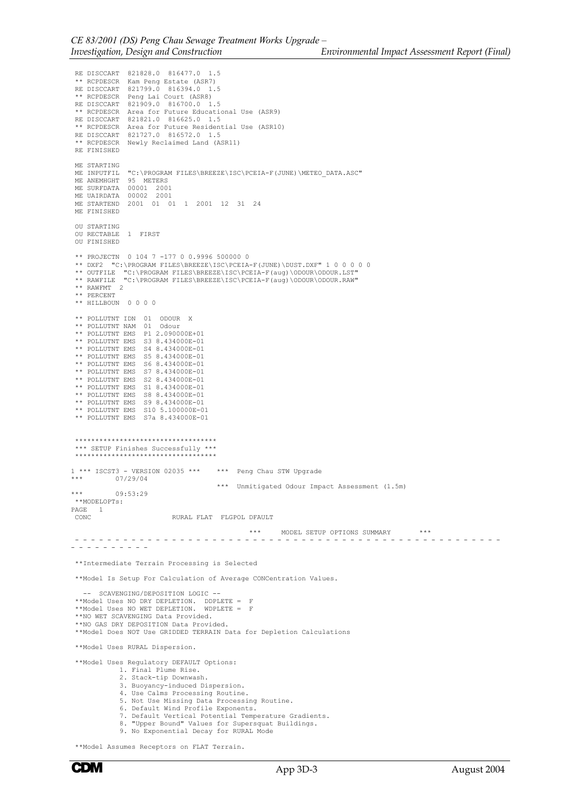RE DISCCART 821828.0 816477.0 1.5<br>\*\* RCPDESCR Kam Peng Estate (ASR7) \*\*\*\*\*\*\*\* \*\*\*\*\*\*\*\*\* \*\*\* RE DISCCART 821799.0 816394.0 1.5 \*\* RCPDESCR Peng Lai Court (ASR8) RE DISCCART 821909.0 816700.0 1.5 \*\* RCPDESCR Area for Future Educational Use (ASR9) RE DISCCART 821821.0 816625.0 1.5 \*\* RCPDESCR Area for Future Residential Use (ASR10) RE DISCCART 821727.0 816572.0 1.5 \*\* RCPDESCR Newly Reclaimed Land (ASR11) RE FINISHED ME STARTING ME INPUTFIL "C:\PROGRAM FILES\BREEZE\ISC\PCEIA-F(JUNE)\METEO\_DATA.ASC" ME ANEMHGHT 95 METERS ME SURFDATA 00001 2001 ME UAIRDATA 00002 2001 ME STARTEND 2001 01 01 1 2001 12 31 24 ME FINISHED OU STARTING OU RECTABLE 1 FIRST OU FINISHED \*\* PROJECTN 0 104 7 -177 0 0.9996 500000 0 \*\* DXF2 "C:\PROGRAM FILES\BREEZE\ISC\PCEIA-F(JUNE)\DUST.DXF" 1 0 0 0 0 0 \*\* OUTFILE "C:\PROGRAM FILES\BREEZE\ISC\PCEIA-F(aug)\ODOUR\ODOUR.LST" \*\* RAWFILE "C:\PROGRAM FILES\BREEZE\ISC\PCEIA-F(aug)\ODOUR\ODOUR.RAW" \*\* RAWFMT 2 \*\* PERCENT \*\* HILLBOUN 0 0 0 0 \*\* POLLUTNT IDN 01 ODOUR X \*\* POLLUTNT NAM 01 Odour \*\* POLLUTNT EMS P1 2.090000E+01 \*\* POLLUTNT EMS S3 8.434000E-01 \*\* POLLUTNT EMS S4 8.434000E-01 \*\* POLLUTNT EMS S5 8.434000E-01 \*\* POLLUTNT EMS S6 8.434000E-01 \*\* POLLUTNT EMS S7 8.434000E-01 \*\* POLLUTNT EMS S2 8.434000E-01 \*\* POLLUTNT EMS S1 8.434000E-01 \*\* POLLUTNT EMS S8 8.434000E-01 \*\* POLLUTNT EMS S9 8.434000E-01 \*\* POLLUTNT EMS S10 5.100000E-01 \*\* POLLUTNT EMS S7a 8.434000E-01 \*\*\*\*\*\*\*\*\*\*\*\*\*\*\*\*\*\*\*\*\*\*\*\*\*\*\*\*\*\*\*\*\*\*\* \*\*\* SETUP Finishes Successfully \*\*\* \*\*\*\*\*\*\*\*\*\*\*\*\*\*\*\*\*\*\*\*\*\*\*\*\*\*\*\*\*\*\*\*\*\*\*  $1***$  ISCST3 - VERSION 02035 \*\*\* \*\*\* Peng Chau STW Upgrade  $07/29/04$  \*\*\* Unmitigated Odour Impact Assessment (1.5m) \*\*\* 09:53:29 \*\*MODELOPTs: PAGE 1<br>CONC RURAL FLAT FLGPOL DFAULT \*\*\* MODEL SETUP OPTIONS SUMMARY \*\*\* - - - - - - - - - - - - - - - - - - - - - - - - - - - - - - - - - - - - - - - - - - - - - - - - - - - - - - - - - - - - - - - \*\*Intermediate Terrain Processing is Selected \*\*Model Is Setup For Calculation of Average CONCentration Values. -- SCAVENGING/DEPOSITION LOGIC -- \*\*Model Uses NO DRY DEPLETION. DDPLETE = F \*\*Model Uses NO WET DEPLETION. WDPLETE = F \*\*NO WET SCAVENGING Data Provided. \*\*NO GAS DRY DEPOSITION Data Provided. \*\*Model Does NOT Use GRIDDED TERRAIN Data for Depletion Calculations \*\*Model Uses RURAL Dispersion. \*\*Model Uses Regulatory DEFAULT Options: 1. Final Plume Rise. 2. Stack-tip Downwash. 3. Buoyancy-induced Dispersion. 4. Use Calms Processing Routine. 5. Not Use Missing Data Processing Routine. 6. Default Wind Profile Exponents. 7. Default Vertical Potential Temperature Gradients. 8. "Upper Bound" Values for Supersquat Buildings. 9. No Exponential Decay for RURAL Mode

 <sup>\*\*</sup>Model Assumes Receptors on FLAT Terrain.

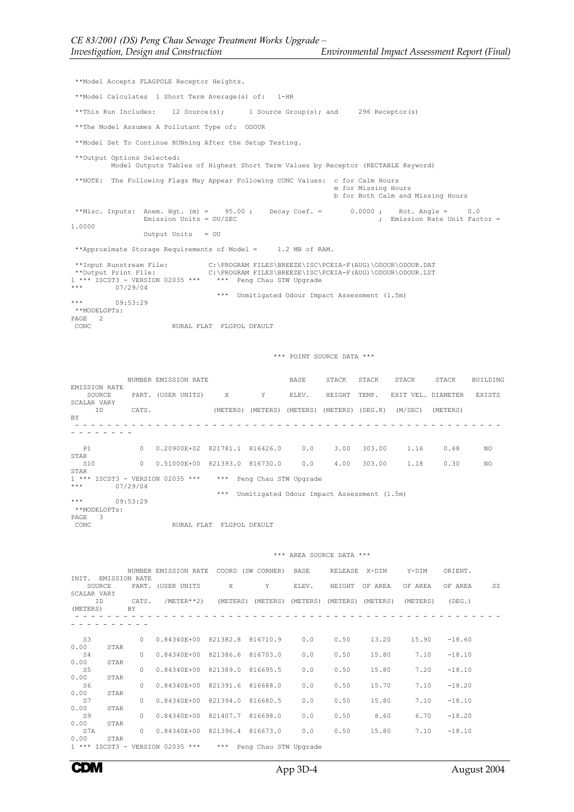\*\*Model Accepts FLAGPOLE Receptor Heights. \*\*Model Calculates 1 Short Term Average(s) of: 1-HR \*\*This Run Includes: 12 Source(s); 1 Source Group(s); and 296 Receptor(s) \*\*The Model Assumes A Pollutant Type of: ODOUR \*\*Model Set To Continue RUNning After the Setup Testing. \*\*Output Options Selected: Model Outputs Tables of Highest Short Term Values by Receptor (RECTABLE Keyword) \*\*NOTE: The Following Flags May Appear Following CONC Values: c for Calm Hours m for Missing Hours b for Both Calm and Missing Hours \*\*Misc. Inputs: Anem. Hgt. (m) = 95.00 ; Decay Coef. = 0.0000 ; Rot. Angle = 0.0  $\sum_{i=1}^{N}$  Emission Rate Unit Factor = 1.0000 Output Units = OU \*\*Approximate Storage Requirements of Model = 1.2 MB of RAM. \*\*Input Runstream File: C:\PROGRAM FILES\BREEZE\ISC\PCEIA-F(AUG)\ODOUR\ODOUR.DAT<br>\*\*Output Print File: C:\PROGRAM FILES\BREEZE\ISC\PCEIA-F(AUG)\ODOUR\ODOUR.LST<br>1 \*\*\* ISCST3 - VERSION 02035 \*\*\* \*\*\* Peng Chau STW Upgrade<br>\*\*\* \*\*\* Unmitigated Odour Impact Assessment (1.5m) 09:53:29 \*\*MODELOPTs: PAGE 2<br>CONC RURAL FLAT FLGPOL DFAULT \*\*\* POINT SOURCE DATA \*\*\* NUMBER EMISSION RATE **BASE** STACK STACK STACK STACK BUILDING EMISSION RATE PART. (USER UNITS) X Y ELEV. HEIGHT TEMP. EXIT VEL. DIAMETER EXISTS SCALAR VARY ID CATS. (METERS) (METERS) (METERS) (METERS) (DEG.K) (M/SEC) (METERS) BY - - - - - - - - - - - - - - - - - - - - - - - - - - - - - - - - - - - - - - - - - - - - - - - - - - - - - - - - - - - - - P1 0 0.20900E+02 821781.1 816426.0 0.0 3.00 303.00 1.16 0.68 NO STAR<br>S10

STAR 1 \*\*\* ISCST3 - VERSION 02035 \*\*\* \*\*\* Peng Chau STW Upgrade<br>1 \*\*\* 19779404 07/29/04 \*\*\* Unmitigated Odour Impact Assessment (1.5m) 09:53:29 \*\*MODELOPTs: PAGE 3<br>CONC RURAL FLAT FLGPOL DFAULT

| INIT. EMISSION RATE<br>SOURCE<br>SCALAR VARY<br>ID<br>(METERS) |      | BY     | NUMBER EMISSION RATE COORD (SW CORNER) BASE<br>PART. (USER UNITS X<br>CATS. /METER**2) (METERS) (METERS) (METERS) (METERS) (METERS) (METERS) |                   | Y                         | ELEV. | RELEASE X-DIM<br>HEIGHT | OF AREA | Y-DIM<br>OF AREA | ORIENT.<br>OF AREA<br>(DEG. ) | SZ |
|----------------------------------------------------------------|------|--------|----------------------------------------------------------------------------------------------------------------------------------------------|-------------------|---------------------------|-------|-------------------------|---------|------------------|-------------------------------|----|
|                                                                |      |        |                                                                                                                                              |                   |                           |       |                         |         |                  |                               |    |
| S3<br>0.00                                                     | STAR |        | 0 0.84340E+00 821382.8 816710.9                                                                                                              |                   |                           | 0.0   | 0.50                    | 13.20   | 15.90            | $-18.60$                      |    |
| S4                                                             |      | $\cap$ | 0.84340E+00 821386.6 816703.0                                                                                                                |                   |                           | 0.0   | 0.50                    | 15.80   | 7.10             | $-18.10$                      |    |
| 0.00<br>S5                                                     | STAR | $\cap$ | 0.84340E+00 821389.0 816695.5                                                                                                                |                   |                           | 0.0   | 0.50                    | 15.80   | 7.20             | $-18.10$                      |    |
| 0.00<br>S6                                                     | STAR | $\cap$ | $0.84340E + 00$                                                                                                                              | 821391.6 816688.0 |                           | 0.0   | 0.50                    | 15.70   | 7.10             | $-18.20$                      |    |
| 0.00<br>S7                                                     | STAR | $\cap$ | 0.84340E+00 821394.0 816680.5                                                                                                                |                   |                           | 0.0   | 0.50                    | 15.80   | 7.10             | $-18.10$                      |    |
| 0.00                                                           | STAR |        |                                                                                                                                              |                   |                           |       |                         |         |                  |                               |    |
| S9<br>0.00                                                     | STAR | $\cap$ | 0.84340E+00 821407.7 816698.0                                                                                                                |                   |                           | 0.0   | 0.50                    | 8.60    | 6.70             | $-18.20$                      |    |
| S7A<br>0.00                                                    | STAR | $\cap$ | 0.84340E+00 821396.4 816673.0                                                                                                                |                   |                           | 0.0   | 0.50                    | 15.80   | 7.10             | $-18.10$                      |    |
|                                                                |      |        | 1 *** ISCST3 - VERSION 02035 ***                                                                                                             |                   | *** Peng Chau STW Upgrade |       |                         |         |                  |                               |    |

## \*\*\* AREA SOURCE DATA \*\*\*

S10 0 0.51000E+00 821393.0 816730.0 0.0 4.00 303.00 1.18 0.30 NO

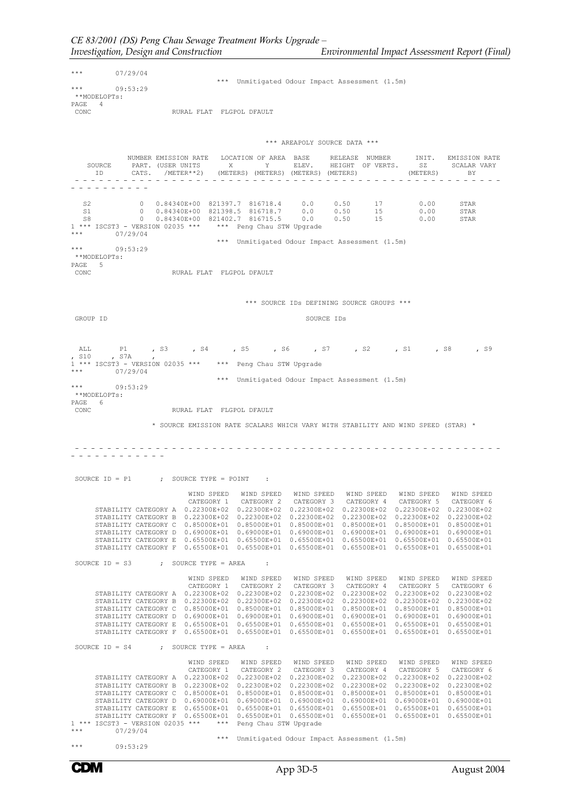$***$  07/29/04 \*\*\* Unmitigated Odour Impact Assessment (1.5m) 09:53:29 \*\*MODELOPTs: PAGE 4<br>CONC RURAL FLAT FLGPOL DFAULT \*\*\* AREAPOLY SOURCE DATA \*\*\* NUMBER EMISSION RATE LOCATION OF AREA BASE RELEASE NUMBER INIT. EMISSION RATE<br>PART. (USER UNITS X Y ELEV. HEIGHT OF VERTS. SZ SCALAR VARY<br>CATS. /METER\*\*2) (METERS) (METERS) (METERS) (METERS) SOURCE PART. (USER UNITS X Y ELEV. HEIGHT OF VERTS. SZ SCALAR VARY ID CATS. /METER\*\*2) (METERS) (METERS) (METERS) (METERS) (METERS) BY - - - - - - - - - - - - - - - - - - - - - - - - - - - - - - - - - - - - - - - - - - - - - - - - - - - - - - - - - - - - - - - S2 0 0.84340E+00 821397.7 816718.4 0.0 0.50 17 0.00 STAR S1 0 0.84340E+00 821398.5 816718.7 0.0 0.50 15 0.00 STAR S8 0 0.84340E+00 821402.7 816715.5 0.0 0.50 15 0.00 STAR 1 \*\*\* ISCST3 - VERSION 02035 \*\*\* \*\*\* Peng Chau STW Upgrade  $07/29/04$  \*\*\* Unmitigated Odour Impact Assessment (1.5m) 09:53:29 \*\*MODELOPTs: PAGE 5<br>CONC RURAL FLAT FLGPOL DFAULT \*\*\* SOURCE IDs DEFINING SOURCE GROUPS \*\*\* GROUP ID SOURCE IDs ALL P1 , S3 , S4 , S5 , S6 , S7 , S2 , S1 , S8 , S9<br>S10 , S7A , , S10 , S7A , 1 \*\*\* ISCST3 - VERSION 02035 \*\*\* \*\*\* Peng Chau STW Upgrade  $07/29/04$ \*\*\* Unmitigated Odour Impact Assessment (1.5m) 09:53:29 \*\*MODELOPTs: PAGE 6<br>CONC CONC RURAL FLAT FLGPOL DFAULT \* SOURCE EMISSION RATE SCALARS WHICH VARY WITH STABILITY AND WIND SPEED (STAR) \* - - - - - - - - - - - - - - - - - - - - - - - - - - - - - - - - - - - - - - - - - - - - - - - - - - - - - - - - - - - - - - - - - SOURCE  $ID = P1$  ; SOURCE TYPE = POINT : WIND SPEED WIND SPEED WIND SPEED WIND SPEED WIND SPEED WIND SPEED CATEGORY 1 CATEGORY 2 CATEGORY 3 CATEGORY 4 CATEGORY 5 CATEGORY 6 STABILITY CATEGORY A 0.22300E+02 0.22300E+02 0.22300E+02 0.22300E+02 0.22300E+02 0.22300E+02 STABILITY CATEGORY B 0.22300E+02 0.22300E+02 0.22300E+02 0.22300E+02 0.22300E+02 0.22300E+02 STABILITY CATEGORY C 0.85000E+01 0.85000E+01 0.85000E+01 0.85000E+01 0.85000E+01 0.85000E+01<br>STABILITY CATEGORY D 0.69000E+01 0.69000E+01 0.69000E+01 0.6900E+01 0.69000E+01 0.6900E+01<br>STABILITY CATEGORY E 0.65500E+01 0.655 SOURCE  $ID = S3$  ; SOURCE TYPE = AREA WIND SPEED WIND SPEED WIND SPEED WIND SPEED WIND SPEED WIND SPEED CATEGORY 1 CATEGORY 2 CATEGORY 3 CATEGORY 4 CATEGORY 5 CATEGORY 6 STABILITY CATEGORY A 0.22300E+02 0.22300E+02 0.22300E+02 0.22300E+02 0.22300E+02 0.22300E+02 STABILITY CATEGORY B 0.22300E+02 0.22300E+02 0.22300E+02 0.22300E+02 0.22300E+02<br>STABILITY CATEGORY C 0.85000E+01 0.85000E+01 0.85000E+01 0.85000E+01 0.85000E+01<br>STABILITY CATEGORY D 0.69000E+01 0.69000E+01 0.69000E+01 0.6 SOURCE  $ID = S4$  ; SOURCE TYPE = AREA WIND SPEED WIND SPEED WIND SPEED WIND SPEED WIND SPEED WIND SPEED<br>
CATEGORY 1 CATEGORY 1 CATEGORY 3 CATEGORY 3 CATEGORY 4<br>
STABILITY CATEGORY B 0.22300E+02 0.22300E+02 0.22300E+02 0.22300E+02 0.22300E+02<br>
STABILITY CATEGOR \*\*\* Unmitigated Odour Impact Assessment (1.5m) 09:53:29

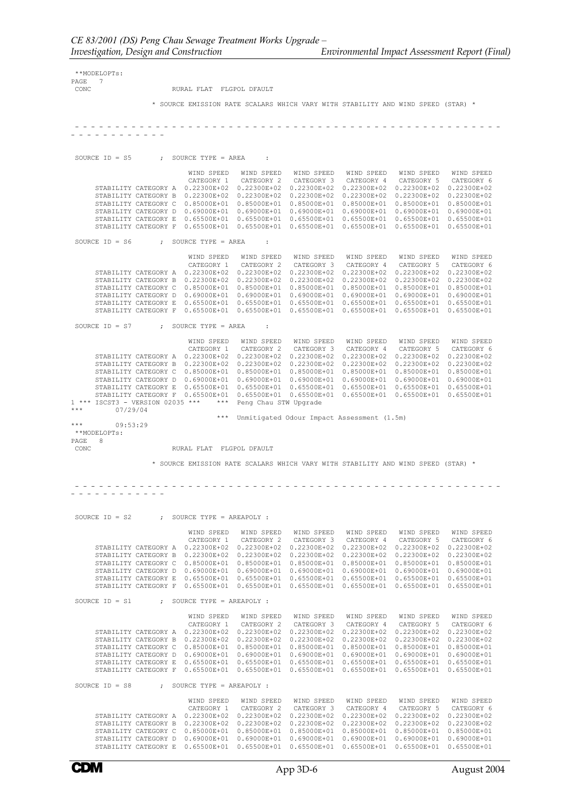| $7\overline{7}$<br>PAGE<br>CONC<br>RURAL FLAT FLGPOL DFAULT<br>* SOURCE EMISSION RATE SCALARS WHICH VARY WITH STABILITY AND WIND SPEED (STAR) *<br>SOURCE $ID = S5$ ; SOURCE TYPE = AREA<br><b>Contract</b><br>WIND SPEED<br>WIND SPEED<br>WIND SPEED<br>WIND SPEED WIND SPEED<br>WIND SPEED<br>CATEGORY 1 CATEGORY 2 CATEGORY 3 CATEGORY 4 CATEGORY 5 CATEGORY 6<br>STABILITY CATEGORY A  0.22300E+02  0.22300E+02  0.22300E+02  0.22300E+02  0.22300E+02  0.22300E+02<br>STABILITY CATEGORY B 0.22300E+02 0.22300E+02 0.22300E+02 0.22300E+02 0.22300E+02 0.22300E+02<br>STABILITY CATEGORY C<br>$0.85000E+01$ 0.85000E+01 0.85000E+01 0.85000E+01 0.85000E+01<br>$0.85000E + 01$<br>STABILITY CATEGORY D 0.69000E+01 0.69000E+01 0.69000E+01 0.69000E+01 0.69000E+01<br>$0.69000E + 01$<br>STABILITY CATEGORY E 0.65500E+01 0.65500E+01 0.65500E+01 0.65500E+01 0.65500E+01 0.65500E+01<br>STABILITY CATEGORY F 0.65500E+01 0.65500E+01 0.65500E+01 0.65500E+01 0.65500E+01 0.65500E+01<br>SOURCE $ID = S6$ ; SOURCE TYPE = AREA<br>$\sim$ 1.<br>WIND SPEED WIND SPEED WIND SPEED<br>WIND SPEED WIND SPEED<br>WIND SPEED<br>CATEGORY 1 CATEGORY 2 CATEGORY 3 CATEGORY 4 CATEGORY 5<br>CATEGORY 6<br>STABILITY CATEGORY A  0.22300E+02  0.22300E+02  0.22300E+02  0.22300E+02  0.22300E+02  0.22300E+02<br>STABILITY CATEGORY B 0.22300E+02 0.22300E+02 0.22300E+02 0.22300E+02 0.22300E+02 0.22300E+02<br>STABILITY CATEGORY C 0.85000E+01 0.85000E+01 0.85000E+01 0.85000E+01 0.85000E+01 0.85000E+01<br>STABILITY CATEGORY D 0.69000E+01 0.69000E+01 0.69000E+01 0.69000E+01 0.69000E+01<br>$0.69000E + 01$<br>STABILITY CATEGORY E 0.65500E+01 0.65500E+01 0.65500E+01 0.65500E+01 0.65500E+01 0.65500E+01<br>STABILITY CATEGORY F 0.65500E+01 0.65500E+01 0.65500E+01 0.65500E+01 0.65500E+01 0.65500E+01<br>SOURCE $ID = S7$ ; SOURCE TYPE = AREA<br>$\sim$ 100<br>WIND SPEED<br>WIND SPEED<br>WIND SPEED<br>WIND SPEED WIND SPEED<br>WIND SPEED<br>CATEGORY 4 CATEGORY 5<br>CATEGORY 1<br>CATEGORY 2<br>CATEGORY 3<br>CATEGORY 6<br>STABILITY CATEGORY A 0.22300E+02 0.22300E+02 0.22300E+02 0.22300E+02 0.22300E+02<br>$0.22300E + 02$<br>STABILITY CATEGORY B 0.22300E+02 0.22300E+02 0.22300E+02 0.22300E+02 0.22300E+02 0.22300E+02<br>STABILITY CATEGORY C 0.85000E+01 0.85000E+01 0.85000E+01 0.85000E+01 0.85000E+01<br>0.85000E+01<br>STABILITY CATEGORY D 0.69000E+01 0.69000E+01 0.69000E+01 0.69000E+01 0.69000E+01<br>$0.69000E + 01$<br>STABILITY CATEGORY E  0.65500E+01  0.65500E+01  0.65500E+01  0.65500E+01  0.65500E+01  0.65500E+01<br>STABILITY CATEGORY F 0.65500E+01 0.65500E+01 0.65500E+01 0.65500E+01 0.65500E+01 0.65500E+01<br>07/29/04<br>*** Unmitigated Odour Impact Assessment (1.5m)<br>09:53:29<br>**MODELOPTs:<br>8<br>CONC<br>RURAL FLAT FLGPOL DFAULT<br>* SOURCE EMISSION RATE SCALARS WHICH VARY WITH STABILITY AND WIND SPEED (STAR) *<br>SOURCE $ID = S2$<br>: SOURCE TYPE = AREAPOLY :<br>WIND SPEED<br>WIND SPEED WIND SPEED<br>WIND SPEED<br>WIND SPEED<br>WIND SPEED<br>CATEGORY 1<br>CATEGORY 2<br>CATEGORY 3<br>CATEGORY 4<br>CATEGORY 5<br>CATEGORY 6<br>STABILITY CATEGORY A 0.22300E+02 0.22300E+02 0.22300E+02 0.22300E+02 0.22300E+02<br>0.22300E+02<br>STABILITY CATEGORY B  0.22300E+02  0.22300E+02<br>0.22300E+02  0.22300E+02  0.22300E+02<br>$0.22300E + 02$<br>STABILITY CATEGORY C<br>$0.85000E+01$ 0.85000E+01<br>$0.85000E + 01$<br>$0.85000E+01$ $0.85000E+01$<br>0.85000E+01<br>$0.69000E + 01$<br>$0.69000E+01$ 0.69000E+01<br>STABILITY CATEGORY D<br>$0.69000E + 01$<br>$0.69000E + 01$<br>$0.69000E + 01$ |
|----------------------------------------------------------------------------------------------------------------------------------------------------------------------------------------------------------------------------------------------------------------------------------------------------------------------------------------------------------------------------------------------------------------------------------------------------------------------------------------------------------------------------------------------------------------------------------------------------------------------------------------------------------------------------------------------------------------------------------------------------------------------------------------------------------------------------------------------------------------------------------------------------------------------------------------------------------------------------------------------------------------------------------------------------------------------------------------------------------------------------------------------------------------------------------------------------------------------------------------------------------------------------------------------------------------------------------------------------------------------------------------------------------------------------------------------------------------------------------------------------------------------------------------------------------------------------------------------------------------------------------------------------------------------------------------------------------------------------------------------------------------------------------------------------------------------------------------------------------------------------------------------------------------------------------------------------------------------------------------------------------------------------------------------------------------------------------------------------------------------------------------------------------------------------------------------------------------------------------------------------------------------------------------------------------------------------------------------------------------------------------------------------------------------------------------------------------------------------------------------------------------------------------------------------------------------------------------------------------------------------------------------------------------------------------------------------------------------------------------------------------------------------------------------------------------------------------------------------------------------------------------------------------------------------------------------------------------------------------------------------------------------------------------------------------------------------------------------------------------------------------------------------------------------------------------------------------------------------------------------------------------------------------------------------------------------------------------------------------------------------------------------------------------------------------------------------------------------------------------------------------------------------------------------------------------------------------------|
| 1 *** ISCST3 - VERSION 02035 *** *** Peng Chau STW Upgrade<br>***<br>***<br>PAGE                                                                                                                                                                                                                                                                                                                                                                                                                                                                                                                                                                                                                                                                                                                                                                                                                                                                                                                                                                                                                                                                                                                                                                                                                                                                                                                                                                                                                                                                                                                                                                                                                                                                                                                                                                                                                                                                                                                                                                                                                                                                                                                                                                                                                                                                                                                                                                                                                                                                                                                                                                                                                                                                                                                                                                                                                                                                                                                                                                                                                                                                                                                                                                                                                                                                                                                                                                                                                                                                                                       |
|                                                                                                                                                                                                                                                                                                                                                                                                                                                                                                                                                                                                                                                                                                                                                                                                                                                                                                                                                                                                                                                                                                                                                                                                                                                                                                                                                                                                                                                                                                                                                                                                                                                                                                                                                                                                                                                                                                                                                                                                                                                                                                                                                                                                                                                                                                                                                                                                                                                                                                                                                                                                                                                                                                                                                                                                                                                                                                                                                                                                                                                                                                                                                                                                                                                                                                                                                                                                                                                                                                                                                                                        |
|                                                                                                                                                                                                                                                                                                                                                                                                                                                                                                                                                                                                                                                                                                                                                                                                                                                                                                                                                                                                                                                                                                                                                                                                                                                                                                                                                                                                                                                                                                                                                                                                                                                                                                                                                                                                                                                                                                                                                                                                                                                                                                                                                                                                                                                                                                                                                                                                                                                                                                                                                                                                                                                                                                                                                                                                                                                                                                                                                                                                                                                                                                                                                                                                                                                                                                                                                                                                                                                                                                                                                                                        |
|                                                                                                                                                                                                                                                                                                                                                                                                                                                                                                                                                                                                                                                                                                                                                                                                                                                                                                                                                                                                                                                                                                                                                                                                                                                                                                                                                                                                                                                                                                                                                                                                                                                                                                                                                                                                                                                                                                                                                                                                                                                                                                                                                                                                                                                                                                                                                                                                                                                                                                                                                                                                                                                                                                                                                                                                                                                                                                                                                                                                                                                                                                                                                                                                                                                                                                                                                                                                                                                                                                                                                                                        |
|                                                                                                                                                                                                                                                                                                                                                                                                                                                                                                                                                                                                                                                                                                                                                                                                                                                                                                                                                                                                                                                                                                                                                                                                                                                                                                                                                                                                                                                                                                                                                                                                                                                                                                                                                                                                                                                                                                                                                                                                                                                                                                                                                                                                                                                                                                                                                                                                                                                                                                                                                                                                                                                                                                                                                                                                                                                                                                                                                                                                                                                                                                                                                                                                                                                                                                                                                                                                                                                                                                                                                                                        |
|                                                                                                                                                                                                                                                                                                                                                                                                                                                                                                                                                                                                                                                                                                                                                                                                                                                                                                                                                                                                                                                                                                                                                                                                                                                                                                                                                                                                                                                                                                                                                                                                                                                                                                                                                                                                                                                                                                                                                                                                                                                                                                                                                                                                                                                                                                                                                                                                                                                                                                                                                                                                                                                                                                                                                                                                                                                                                                                                                                                                                                                                                                                                                                                                                                                                                                                                                                                                                                                                                                                                                                                        |
|                                                                                                                                                                                                                                                                                                                                                                                                                                                                                                                                                                                                                                                                                                                                                                                                                                                                                                                                                                                                                                                                                                                                                                                                                                                                                                                                                                                                                                                                                                                                                                                                                                                                                                                                                                                                                                                                                                                                                                                                                                                                                                                                                                                                                                                                                                                                                                                                                                                                                                                                                                                                                                                                                                                                                                                                                                                                                                                                                                                                                                                                                                                                                                                                                                                                                                                                                                                                                                                                                                                                                                                        |
|                                                                                                                                                                                                                                                                                                                                                                                                                                                                                                                                                                                                                                                                                                                                                                                                                                                                                                                                                                                                                                                                                                                                                                                                                                                                                                                                                                                                                                                                                                                                                                                                                                                                                                                                                                                                                                                                                                                                                                                                                                                                                                                                                                                                                                                                                                                                                                                                                                                                                                                                                                                                                                                                                                                                                                                                                                                                                                                                                                                                                                                                                                                                                                                                                                                                                                                                                                                                                                                                                                                                                                                        |
|                                                                                                                                                                                                                                                                                                                                                                                                                                                                                                                                                                                                                                                                                                                                                                                                                                                                                                                                                                                                                                                                                                                                                                                                                                                                                                                                                                                                                                                                                                                                                                                                                                                                                                                                                                                                                                                                                                                                                                                                                                                                                                                                                                                                                                                                                                                                                                                                                                                                                                                                                                                                                                                                                                                                                                                                                                                                                                                                                                                                                                                                                                                                                                                                                                                                                                                                                                                                                                                                                                                                                                                        |
|                                                                                                                                                                                                                                                                                                                                                                                                                                                                                                                                                                                                                                                                                                                                                                                                                                                                                                                                                                                                                                                                                                                                                                                                                                                                                                                                                                                                                                                                                                                                                                                                                                                                                                                                                                                                                                                                                                                                                                                                                                                                                                                                                                                                                                                                                                                                                                                                                                                                                                                                                                                                                                                                                                                                                                                                                                                                                                                                                                                                                                                                                                                                                                                                                                                                                                                                                                                                                                                                                                                                                                                        |
|                                                                                                                                                                                                                                                                                                                                                                                                                                                                                                                                                                                                                                                                                                                                                                                                                                                                                                                                                                                                                                                                                                                                                                                                                                                                                                                                                                                                                                                                                                                                                                                                                                                                                                                                                                                                                                                                                                                                                                                                                                                                                                                                                                                                                                                                                                                                                                                                                                                                                                                                                                                                                                                                                                                                                                                                                                                                                                                                                                                                                                                                                                                                                                                                                                                                                                                                                                                                                                                                                                                                                                                        |
|                                                                                                                                                                                                                                                                                                                                                                                                                                                                                                                                                                                                                                                                                                                                                                                                                                                                                                                                                                                                                                                                                                                                                                                                                                                                                                                                                                                                                                                                                                                                                                                                                                                                                                                                                                                                                                                                                                                                                                                                                                                                                                                                                                                                                                                                                                                                                                                                                                                                                                                                                                                                                                                                                                                                                                                                                                                                                                                                                                                                                                                                                                                                                                                                                                                                                                                                                                                                                                                                                                                                                                                        |
|                                                                                                                                                                                                                                                                                                                                                                                                                                                                                                                                                                                                                                                                                                                                                                                                                                                                                                                                                                                                                                                                                                                                                                                                                                                                                                                                                                                                                                                                                                                                                                                                                                                                                                                                                                                                                                                                                                                                                                                                                                                                                                                                                                                                                                                                                                                                                                                                                                                                                                                                                                                                                                                                                                                                                                                                                                                                                                                                                                                                                                                                                                                                                                                                                                                                                                                                                                                                                                                                                                                                                                                        |
|                                                                                                                                                                                                                                                                                                                                                                                                                                                                                                                                                                                                                                                                                                                                                                                                                                                                                                                                                                                                                                                                                                                                                                                                                                                                                                                                                                                                                                                                                                                                                                                                                                                                                                                                                                                                                                                                                                                                                                                                                                                                                                                                                                                                                                                                                                                                                                                                                                                                                                                                                                                                                                                                                                                                                                                                                                                                                                                                                                                                                                                                                                                                                                                                                                                                                                                                                                                                                                                                                                                                                                                        |
|                                                                                                                                                                                                                                                                                                                                                                                                                                                                                                                                                                                                                                                                                                                                                                                                                                                                                                                                                                                                                                                                                                                                                                                                                                                                                                                                                                                                                                                                                                                                                                                                                                                                                                                                                                                                                                                                                                                                                                                                                                                                                                                                                                                                                                                                                                                                                                                                                                                                                                                                                                                                                                                                                                                                                                                                                                                                                                                                                                                                                                                                                                                                                                                                                                                                                                                                                                                                                                                                                                                                                                                        |
|                                                                                                                                                                                                                                                                                                                                                                                                                                                                                                                                                                                                                                                                                                                                                                                                                                                                                                                                                                                                                                                                                                                                                                                                                                                                                                                                                                                                                                                                                                                                                                                                                                                                                                                                                                                                                                                                                                                                                                                                                                                                                                                                                                                                                                                                                                                                                                                                                                                                                                                                                                                                                                                                                                                                                                                                                                                                                                                                                                                                                                                                                                                                                                                                                                                                                                                                                                                                                                                                                                                                                                                        |
|                                                                                                                                                                                                                                                                                                                                                                                                                                                                                                                                                                                                                                                                                                                                                                                                                                                                                                                                                                                                                                                                                                                                                                                                                                                                                                                                                                                                                                                                                                                                                                                                                                                                                                                                                                                                                                                                                                                                                                                                                                                                                                                                                                                                                                                                                                                                                                                                                                                                                                                                                                                                                                                                                                                                                                                                                                                                                                                                                                                                                                                                                                                                                                                                                                                                                                                                                                                                                                                                                                                                                                                        |
|                                                                                                                                                                                                                                                                                                                                                                                                                                                                                                                                                                                                                                                                                                                                                                                                                                                                                                                                                                                                                                                                                                                                                                                                                                                                                                                                                                                                                                                                                                                                                                                                                                                                                                                                                                                                                                                                                                                                                                                                                                                                                                                                                                                                                                                                                                                                                                                                                                                                                                                                                                                                                                                                                                                                                                                                                                                                                                                                                                                                                                                                                                                                                                                                                                                                                                                                                                                                                                                                                                                                                                                        |
|                                                                                                                                                                                                                                                                                                                                                                                                                                                                                                                                                                                                                                                                                                                                                                                                                                                                                                                                                                                                                                                                                                                                                                                                                                                                                                                                                                                                                                                                                                                                                                                                                                                                                                                                                                                                                                                                                                                                                                                                                                                                                                                                                                                                                                                                                                                                                                                                                                                                                                                                                                                                                                                                                                                                                                                                                                                                                                                                                                                                                                                                                                                                                                                                                                                                                                                                                                                                                                                                                                                                                                                        |
|                                                                                                                                                                                                                                                                                                                                                                                                                                                                                                                                                                                                                                                                                                                                                                                                                                                                                                                                                                                                                                                                                                                                                                                                                                                                                                                                                                                                                                                                                                                                                                                                                                                                                                                                                                                                                                                                                                                                                                                                                                                                                                                                                                                                                                                                                                                                                                                                                                                                                                                                                                                                                                                                                                                                                                                                                                                                                                                                                                                                                                                                                                                                                                                                                                                                                                                                                                                                                                                                                                                                                                                        |
|                                                                                                                                                                                                                                                                                                                                                                                                                                                                                                                                                                                                                                                                                                                                                                                                                                                                                                                                                                                                                                                                                                                                                                                                                                                                                                                                                                                                                                                                                                                                                                                                                                                                                                                                                                                                                                                                                                                                                                                                                                                                                                                                                                                                                                                                                                                                                                                                                                                                                                                                                                                                                                                                                                                                                                                                                                                                                                                                                                                                                                                                                                                                                                                                                                                                                                                                                                                                                                                                                                                                                                                        |
|                                                                                                                                                                                                                                                                                                                                                                                                                                                                                                                                                                                                                                                                                                                                                                                                                                                                                                                                                                                                                                                                                                                                                                                                                                                                                                                                                                                                                                                                                                                                                                                                                                                                                                                                                                                                                                                                                                                                                                                                                                                                                                                                                                                                                                                                                                                                                                                                                                                                                                                                                                                                                                                                                                                                                                                                                                                                                                                                                                                                                                                                                                                                                                                                                                                                                                                                                                                                                                                                                                                                                                                        |
|                                                                                                                                                                                                                                                                                                                                                                                                                                                                                                                                                                                                                                                                                                                                                                                                                                                                                                                                                                                                                                                                                                                                                                                                                                                                                                                                                                                                                                                                                                                                                                                                                                                                                                                                                                                                                                                                                                                                                                                                                                                                                                                                                                                                                                                                                                                                                                                                                                                                                                                                                                                                                                                                                                                                                                                                                                                                                                                                                                                                                                                                                                                                                                                                                                                                                                                                                                                                                                                                                                                                                                                        |
|                                                                                                                                                                                                                                                                                                                                                                                                                                                                                                                                                                                                                                                                                                                                                                                                                                                                                                                                                                                                                                                                                                                                                                                                                                                                                                                                                                                                                                                                                                                                                                                                                                                                                                                                                                                                                                                                                                                                                                                                                                                                                                                                                                                                                                                                                                                                                                                                                                                                                                                                                                                                                                                                                                                                                                                                                                                                                                                                                                                                                                                                                                                                                                                                                                                                                                                                                                                                                                                                                                                                                                                        |
|                                                                                                                                                                                                                                                                                                                                                                                                                                                                                                                                                                                                                                                                                                                                                                                                                                                                                                                                                                                                                                                                                                                                                                                                                                                                                                                                                                                                                                                                                                                                                                                                                                                                                                                                                                                                                                                                                                                                                                                                                                                                                                                                                                                                                                                                                                                                                                                                                                                                                                                                                                                                                                                                                                                                                                                                                                                                                                                                                                                                                                                                                                                                                                                                                                                                                                                                                                                                                                                                                                                                                                                        |
|                                                                                                                                                                                                                                                                                                                                                                                                                                                                                                                                                                                                                                                                                                                                                                                                                                                                                                                                                                                                                                                                                                                                                                                                                                                                                                                                                                                                                                                                                                                                                                                                                                                                                                                                                                                                                                                                                                                                                                                                                                                                                                                                                                                                                                                                                                                                                                                                                                                                                                                                                                                                                                                                                                                                                                                                                                                                                                                                                                                                                                                                                                                                                                                                                                                                                                                                                                                                                                                                                                                                                                                        |
|                                                                                                                                                                                                                                                                                                                                                                                                                                                                                                                                                                                                                                                                                                                                                                                                                                                                                                                                                                                                                                                                                                                                                                                                                                                                                                                                                                                                                                                                                                                                                                                                                                                                                                                                                                                                                                                                                                                                                                                                                                                                                                                                                                                                                                                                                                                                                                                                                                                                                                                                                                                                                                                                                                                                                                                                                                                                                                                                                                                                                                                                                                                                                                                                                                                                                                                                                                                                                                                                                                                                                                                        |
|                                                                                                                                                                                                                                                                                                                                                                                                                                                                                                                                                                                                                                                                                                                                                                                                                                                                                                                                                                                                                                                                                                                                                                                                                                                                                                                                                                                                                                                                                                                                                                                                                                                                                                                                                                                                                                                                                                                                                                                                                                                                                                                                                                                                                                                                                                                                                                                                                                                                                                                                                                                                                                                                                                                                                                                                                                                                                                                                                                                                                                                                                                                                                                                                                                                                                                                                                                                                                                                                                                                                                                                        |
|                                                                                                                                                                                                                                                                                                                                                                                                                                                                                                                                                                                                                                                                                                                                                                                                                                                                                                                                                                                                                                                                                                                                                                                                                                                                                                                                                                                                                                                                                                                                                                                                                                                                                                                                                                                                                                                                                                                                                                                                                                                                                                                                                                                                                                                                                                                                                                                                                                                                                                                                                                                                                                                                                                                                                                                                                                                                                                                                                                                                                                                                                                                                                                                                                                                                                                                                                                                                                                                                                                                                                                                        |
|                                                                                                                                                                                                                                                                                                                                                                                                                                                                                                                                                                                                                                                                                                                                                                                                                                                                                                                                                                                                                                                                                                                                                                                                                                                                                                                                                                                                                                                                                                                                                                                                                                                                                                                                                                                                                                                                                                                                                                                                                                                                                                                                                                                                                                                                                                                                                                                                                                                                                                                                                                                                                                                                                                                                                                                                                                                                                                                                                                                                                                                                                                                                                                                                                                                                                                                                                                                                                                                                                                                                                                                        |
|                                                                                                                                                                                                                                                                                                                                                                                                                                                                                                                                                                                                                                                                                                                                                                                                                                                                                                                                                                                                                                                                                                                                                                                                                                                                                                                                                                                                                                                                                                                                                                                                                                                                                                                                                                                                                                                                                                                                                                                                                                                                                                                                                                                                                                                                                                                                                                                                                                                                                                                                                                                                                                                                                                                                                                                                                                                                                                                                                                                                                                                                                                                                                                                                                                                                                                                                                                                                                                                                                                                                                                                        |
|                                                                                                                                                                                                                                                                                                                                                                                                                                                                                                                                                                                                                                                                                                                                                                                                                                                                                                                                                                                                                                                                                                                                                                                                                                                                                                                                                                                                                                                                                                                                                                                                                                                                                                                                                                                                                                                                                                                                                                                                                                                                                                                                                                                                                                                                                                                                                                                                                                                                                                                                                                                                                                                                                                                                                                                                                                                                                                                                                                                                                                                                                                                                                                                                                                                                                                                                                                                                                                                                                                                                                                                        |
|                                                                                                                                                                                                                                                                                                                                                                                                                                                                                                                                                                                                                                                                                                                                                                                                                                                                                                                                                                                                                                                                                                                                                                                                                                                                                                                                                                                                                                                                                                                                                                                                                                                                                                                                                                                                                                                                                                                                                                                                                                                                                                                                                                                                                                                                                                                                                                                                                                                                                                                                                                                                                                                                                                                                                                                                                                                                                                                                                                                                                                                                                                                                                                                                                                                                                                                                                                                                                                                                                                                                                                                        |
|                                                                                                                                                                                                                                                                                                                                                                                                                                                                                                                                                                                                                                                                                                                                                                                                                                                                                                                                                                                                                                                                                                                                                                                                                                                                                                                                                                                                                                                                                                                                                                                                                                                                                                                                                                                                                                                                                                                                                                                                                                                                                                                                                                                                                                                                                                                                                                                                                                                                                                                                                                                                                                                                                                                                                                                                                                                                                                                                                                                                                                                                                                                                                                                                                                                                                                                                                                                                                                                                                                                                                                                        |
|                                                                                                                                                                                                                                                                                                                                                                                                                                                                                                                                                                                                                                                                                                                                                                                                                                                                                                                                                                                                                                                                                                                                                                                                                                                                                                                                                                                                                                                                                                                                                                                                                                                                                                                                                                                                                                                                                                                                                                                                                                                                                                                                                                                                                                                                                                                                                                                                                                                                                                                                                                                                                                                                                                                                                                                                                                                                                                                                                                                                                                                                                                                                                                                                                                                                                                                                                                                                                                                                                                                                                                                        |
|                                                                                                                                                                                                                                                                                                                                                                                                                                                                                                                                                                                                                                                                                                                                                                                                                                                                                                                                                                                                                                                                                                                                                                                                                                                                                                                                                                                                                                                                                                                                                                                                                                                                                                                                                                                                                                                                                                                                                                                                                                                                                                                                                                                                                                                                                                                                                                                                                                                                                                                                                                                                                                                                                                                                                                                                                                                                                                                                                                                                                                                                                                                                                                                                                                                                                                                                                                                                                                                                                                                                                                                        |
|                                                                                                                                                                                                                                                                                                                                                                                                                                                                                                                                                                                                                                                                                                                                                                                                                                                                                                                                                                                                                                                                                                                                                                                                                                                                                                                                                                                                                                                                                                                                                                                                                                                                                                                                                                                                                                                                                                                                                                                                                                                                                                                                                                                                                                                                                                                                                                                                                                                                                                                                                                                                                                                                                                                                                                                                                                                                                                                                                                                                                                                                                                                                                                                                                                                                                                                                                                                                                                                                                                                                                                                        |
|                                                                                                                                                                                                                                                                                                                                                                                                                                                                                                                                                                                                                                                                                                                                                                                                                                                                                                                                                                                                                                                                                                                                                                                                                                                                                                                                                                                                                                                                                                                                                                                                                                                                                                                                                                                                                                                                                                                                                                                                                                                                                                                                                                                                                                                                                                                                                                                                                                                                                                                                                                                                                                                                                                                                                                                                                                                                                                                                                                                                                                                                                                                                                                                                                                                                                                                                                                                                                                                                                                                                                                                        |
| STABILITY CATEGORY E<br>$0.65500E+01$ $0.65500E+01$<br>$0.65500E+01$ $0.65500E+01$ $0.65500E+01$<br>$0.65500E + 01$                                                                                                                                                                                                                                                                                                                                                                                                                                                                                                                                                                                                                                                                                                                                                                                                                                                                                                                                                                                                                                                                                                                                                                                                                                                                                                                                                                                                                                                                                                                                                                                                                                                                                                                                                                                                                                                                                                                                                                                                                                                                                                                                                                                                                                                                                                                                                                                                                                                                                                                                                                                                                                                                                                                                                                                                                                                                                                                                                                                                                                                                                                                                                                                                                                                                                                                                                                                                                                                                    |
| STABILITY CATEGORY F<br>$0.65500E+01$ $0.65500E+01$ $0.65500E+01$ $0.65500E+01$ $0.65500E+01$<br>$0.65500E + 01$                                                                                                                                                                                                                                                                                                                                                                                                                                                                                                                                                                                                                                                                                                                                                                                                                                                                                                                                                                                                                                                                                                                                                                                                                                                                                                                                                                                                                                                                                                                                                                                                                                                                                                                                                                                                                                                                                                                                                                                                                                                                                                                                                                                                                                                                                                                                                                                                                                                                                                                                                                                                                                                                                                                                                                                                                                                                                                                                                                                                                                                                                                                                                                                                                                                                                                                                                                                                                                                                       |
| SOURCE $ID = S1$<br>: SOURCE TYPE = AREAPOLY :                                                                                                                                                                                                                                                                                                                                                                                                                                                                                                                                                                                                                                                                                                                                                                                                                                                                                                                                                                                                                                                                                                                                                                                                                                                                                                                                                                                                                                                                                                                                                                                                                                                                                                                                                                                                                                                                                                                                                                                                                                                                                                                                                                                                                                                                                                                                                                                                                                                                                                                                                                                                                                                                                                                                                                                                                                                                                                                                                                                                                                                                                                                                                                                                                                                                                                                                                                                                                                                                                                                                         |
| WIND SPEED<br>WIND SPEED<br>WIND SPEED<br>WIND SPEED<br>WIND SPEED<br>WIND SPEED                                                                                                                                                                                                                                                                                                                                                                                                                                                                                                                                                                                                                                                                                                                                                                                                                                                                                                                                                                                                                                                                                                                                                                                                                                                                                                                                                                                                                                                                                                                                                                                                                                                                                                                                                                                                                                                                                                                                                                                                                                                                                                                                                                                                                                                                                                                                                                                                                                                                                                                                                                                                                                                                                                                                                                                                                                                                                                                                                                                                                                                                                                                                                                                                                                                                                                                                                                                                                                                                                                       |
| CATEGORY 1<br>CATEGORY 2<br>CATEGORY 3<br>CATEGORY 4<br>CATEGORY 5<br>CATEGORY 6<br>STABILITY CATEGORY A 0.22300E+02 0.22300E+02 0.22300E+02 0.22300E+02 0.22300E+02<br>0.22300E+02                                                                                                                                                                                                                                                                                                                                                                                                                                                                                                                                                                                                                                                                                                                                                                                                                                                                                                                                                                                                                                                                                                                                                                                                                                                                                                                                                                                                                                                                                                                                                                                                                                                                                                                                                                                                                                                                                                                                                                                                                                                                                                                                                                                                                                                                                                                                                                                                                                                                                                                                                                                                                                                                                                                                                                                                                                                                                                                                                                                                                                                                                                                                                                                                                                                                                                                                                                                                    |
| STABILITY CATEGORY B 0.22300E+02 0.22300E+02 0.22300E+02 0.22300E+02 0.22300E+02<br>0.22300E+02                                                                                                                                                                                                                                                                                                                                                                                                                                                                                                                                                                                                                                                                                                                                                                                                                                                                                                                                                                                                                                                                                                                                                                                                                                                                                                                                                                                                                                                                                                                                                                                                                                                                                                                                                                                                                                                                                                                                                                                                                                                                                                                                                                                                                                                                                                                                                                                                                                                                                                                                                                                                                                                                                                                                                                                                                                                                                                                                                                                                                                                                                                                                                                                                                                                                                                                                                                                                                                                                                        |
|                                                                                                                                                                                                                                                                                                                                                                                                                                                                                                                                                                                                                                                                                                                                                                                                                                                                                                                                                                                                                                                                                                                                                                                                                                                                                                                                                                                                                                                                                                                                                                                                                                                                                                                                                                                                                                                                                                                                                                                                                                                                                                                                                                                                                                                                                                                                                                                                                                                                                                                                                                                                                                                                                                                                                                                                                                                                                                                                                                                                                                                                                                                                                                                                                                                                                                                                                                                                                                                                                                                                                                                        |
| STABILITY CATEGORY C<br>$0.85000E+01$ $0.85000E+01$ $0.85000E+01$ $0.85000E+01$ $0.85000E+01$<br>0.85000E+01<br>$0.69000E + 01$                                                                                                                                                                                                                                                                                                                                                                                                                                                                                                                                                                                                                                                                                                                                                                                                                                                                                                                                                                                                                                                                                                                                                                                                                                                                                                                                                                                                                                                                                                                                                                                                                                                                                                                                                                                                                                                                                                                                                                                                                                                                                                                                                                                                                                                                                                                                                                                                                                                                                                                                                                                                                                                                                                                                                                                                                                                                                                                                                                                                                                                                                                                                                                                                                                                                                                                                                                                                                                                        |
| STABILITY CATEGORY D<br>$0.69000E+01$ 0.69000E+01<br>$0.69000E+01$ 0.69000E+01 0.69000E+01<br>STABILITY CATEGORY E<br>$0.65500E+01$ 0.65500E+01<br>$0.65500E+01$ 0.65500E+01 0.65500E+01<br>$0.65500E + 01$                                                                                                                                                                                                                                                                                                                                                                                                                                                                                                                                                                                                                                                                                                                                                                                                                                                                                                                                                                                                                                                                                                                                                                                                                                                                                                                                                                                                                                                                                                                                                                                                                                                                                                                                                                                                                                                                                                                                                                                                                                                                                                                                                                                                                                                                                                                                                                                                                                                                                                                                                                                                                                                                                                                                                                                                                                                                                                                                                                                                                                                                                                                                                                                                                                                                                                                                                                            |
| STABILITY CATEGORY F 0.65500E+01 0.65500E+01 0.65500E+01 0.65500E+01 0.65500E+01<br>$0.65500E+01$                                                                                                                                                                                                                                                                                                                                                                                                                                                                                                                                                                                                                                                                                                                                                                                                                                                                                                                                                                                                                                                                                                                                                                                                                                                                                                                                                                                                                                                                                                                                                                                                                                                                                                                                                                                                                                                                                                                                                                                                                                                                                                                                                                                                                                                                                                                                                                                                                                                                                                                                                                                                                                                                                                                                                                                                                                                                                                                                                                                                                                                                                                                                                                                                                                                                                                                                                                                                                                                                                      |
| SOURCE $ID = S8$<br>; SOURCE TYPE = AREAPOLY :                                                                                                                                                                                                                                                                                                                                                                                                                                                                                                                                                                                                                                                                                                                                                                                                                                                                                                                                                                                                                                                                                                                                                                                                                                                                                                                                                                                                                                                                                                                                                                                                                                                                                                                                                                                                                                                                                                                                                                                                                                                                                                                                                                                                                                                                                                                                                                                                                                                                                                                                                                                                                                                                                                                                                                                                                                                                                                                                                                                                                                                                                                                                                                                                                                                                                                                                                                                                                                                                                                                                         |
| WIND SPEED<br>WIND SPEED<br>WIND SPEED<br>WIND SPEED<br>WIND SPEED<br>WIND SPEED                                                                                                                                                                                                                                                                                                                                                                                                                                                                                                                                                                                                                                                                                                                                                                                                                                                                                                                                                                                                                                                                                                                                                                                                                                                                                                                                                                                                                                                                                                                                                                                                                                                                                                                                                                                                                                                                                                                                                                                                                                                                                                                                                                                                                                                                                                                                                                                                                                                                                                                                                                                                                                                                                                                                                                                                                                                                                                                                                                                                                                                                                                                                                                                                                                                                                                                                                                                                                                                                                                       |
| CATEGORY 5<br>CATEGORY 1<br>CATEGORY 2<br>CATEGORY 3<br>CATEGORY 4<br>CATEGORY 6<br>STABILITY CATEGORY A  0.22300E+02  0.22300E+02<br>$0.22300E+02$ $0.22300E+02$ $0.22300E+02$<br>0.22300E+02                                                                                                                                                                                                                                                                                                                                                                                                                                                                                                                                                                                                                                                                                                                                                                                                                                                                                                                                                                                                                                                                                                                                                                                                                                                                                                                                                                                                                                                                                                                                                                                                                                                                                                                                                                                                                                                                                                                                                                                                                                                                                                                                                                                                                                                                                                                                                                                                                                                                                                                                                                                                                                                                                                                                                                                                                                                                                                                                                                                                                                                                                                                                                                                                                                                                                                                                                                                         |
| $0.22300E + 02$<br>$0.22300E + 02$<br>0.22300E+02  0.22300E+02  0.22300E+02<br>$0.22300E + 02$<br>STABILITY CATEGORY B<br>STABILITY CATEGORY C<br>$0.85000E + 01$<br>$0.85000E + 01$<br>$0.85000E + 01$<br>$0.85000E+01$ 0.85000E+01<br>$0.85000E + 01$                                                                                                                                                                                                                                                                                                                                                                                                                                                                                                                                                                                                                                                                                                                                                                                                                                                                                                                                                                                                                                                                                                                                                                                                                                                                                                                                                                                                                                                                                                                                                                                                                                                                                                                                                                                                                                                                                                                                                                                                                                                                                                                                                                                                                                                                                                                                                                                                                                                                                                                                                                                                                                                                                                                                                                                                                                                                                                                                                                                                                                                                                                                                                                                                                                                                                                                                |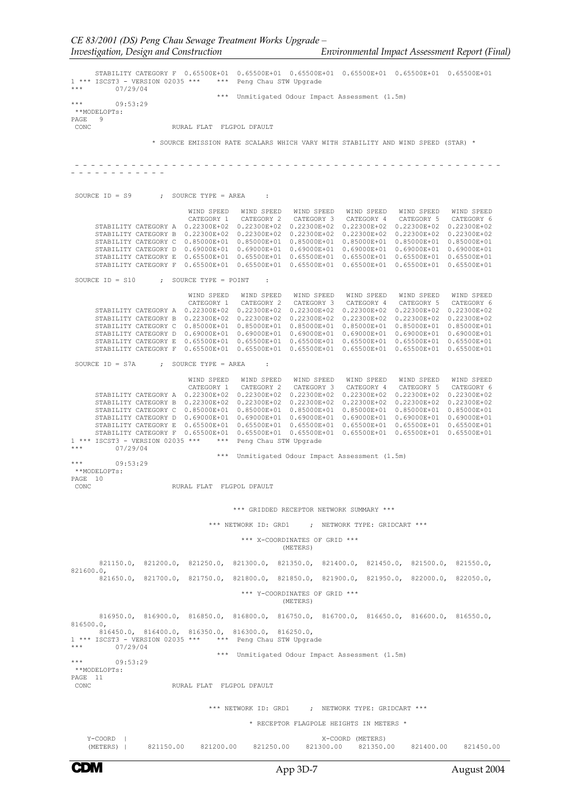*Investigation, Design and Construction Environmental Impact Assessment Report (Final)* STABILITY CATEGORY F 0.65500E+01 0.65500E+01 0.65500E+01 0.65500E+01 0.65500E+01 0.65500E+01 1 \*\*\* ISCST3 - VERSION 02035 \*\*\* \*\*\* Peng Chau STW Upgrade

\*\*\* 07/29/04 \*\*\* Unmitigated Odour Impact Assessment (1.5m) \*\*\* 09:53:29 \*\*MODELOPTs: PAGE 9<br>CONC RURAL FLAT FLGPOL DFAULT \* SOURCE EMISSION RATE SCALARS WHICH VARY WITH STABILITY AND WIND SPEED (STAR) \* - - - - - - - - - - - - - - - - - - - - - - - - - - - - - - - - - - - - - - - - - - - - - - - - - - - - - - - - - - - - - - - - - SOURCE  $ID = S9$  ; SOURCE TYPE = AREA : WIND SPEED WIND SPEED WIND SPEED WIND SPEED WIND SPEED<br>
CATEGORY 1 CATEGORY 1 CATEGORY 2 CATEGORY 3 CATEGORY 4<br>
STABILITY CATEGORY B 0.22300E+02 0.22300E+02 0.22300E+02 0.22300E+02 0.22300E+02<br>
STABILITY CATEGORY B 0.22300 SOURCE  $ID = S10$  ; SOURCE TYPE = POINT WIND SPEED WIND SPEED WIND SPEED WIND SPEED WIND SPEED WIND SPEED CATEGORY 1 CATEGORY 2 CATEGORY 3 CATEGORY 4 CATEGORY 5 CATEGORY 6 STABILITY CATEGORY A 0.22300E+02 0.22300E+02 0.22300E+02 0.22300E+02 0.22300E+02 0.22300E+02 STABILITY CATEGORY B 0.22300E+02 0.22300E+02 0.22300E+02 0.22300E+02 0.22300E+02 0.22300E+02 STABILITY CATEGORY C 0.85000E+01 0.85000E+01 0.85000E+01 0.85000E+01 0.85000E+01 0.85000E+01<br>STABILITY CATEGORY D 0.69000E+01 0.69000E+01 0.69000E+01 0.6900E+01 0.69000E+01 0.6900E+01<br>STABILITY CATEGORY E 0.65500E+01 0.655 SOURCE ID = S7A ; SOURCE TYPE = AREA : WIND SPEED WIND SPEED WIND SPEED WIND SPEED WIND SPEED WIND SPEED CATEGORY 1 CATEGORY 2 CATEGORY 3 CATEGORY 4 CATEGORY 5 CATEGORY 6 STABILITY CATEGORY A 0.22300E+02 0.22300E+02 0.22300E+02 0.22300E+02 0.22300E+02 0.22300E+02 STABILITY CATEGORY B 0.22300E+02 0.22300E+02 0.22300E+02 0.22300E+02 0.22300E+02<br>
STABILITY CATEGORY C 0.85000E+01 0.85000E+01 0.85000E+01 0.85000E+01 0.85000E+01<br>
STABILITY CATEGORY D 0.69000E+01 0.69500E+01 0.6900E+01 0. \*\*\* 07/29/04 \*\*\* Unmitigated Odour Impact Assessment (1.5m) 09:53:29 \*\*MODELOPTs: PAGE 10 RURAL FLAT FLGPOL DFAULT \*\*\* GRIDDED RECEPTOR NETWORK SUMMARY \*\*\* \*\*\* NETWORK ID: GRD1 ; NETWORK TYPE: GRIDCART \*\*\* \*\*\* X-COORDINATES OF GRID \*\*\* (METERS) 821150.0, 821200.0, 821250.0, 821300.0, 821350.0, 821400.0, 821450.0, 821500.0, 821550.0, 821600.0, 821650.0, 821700.0, 821750.0, 821800.0, 821850.0, 821900.0, 821950.0, 822000.0, 822050.0, \*\*\* Y-COORDINATES OF GRID \*\*\* (METERS) 816950.0, 816900.0, 816850.0, 816800.0, 816750.0, 816700.0, 816650.0, 816600.0, 816550.0, 816500.0, 816450.0, 816400.0, 816350.0, 816300.0, 816250.0, 1 \*\*\* ISCST3 - VERSION 02035 \*\*\* \*\*\* Peng Chau STW Upgrade \*\*\* 07/29/04 \*\*\* Unmitigated Odour Impact Assessment (1.5m) \*\*\* 09:53:29 \*\*MODELOPTs: PAGE 11<br>CONC RURAL FLAT FLGPOL DFAULT \*\*\* NETWORK ID: GRD1 ; NETWORK TYPE: GRIDCART \*\*\* \* RECEPTOR FLAGPOLE HEIGHTS IN METERS \* Y-COORD | X-COORD | X-COORD | X-COORD | X-COORD | X-COORD | X-COORD | X-COORD | X-COORD | X-COORD | X-COORD | X-COORD | X-COORD | X-COORD | X-COORD | X-COORD | X-COORD | X-COORD | X-COORD | X-COORD | X-COORD | X-COORD | X-

(METERS) | 821150.00 821200.00 821250.00 821300.00 821350.00 821400.00 821450.00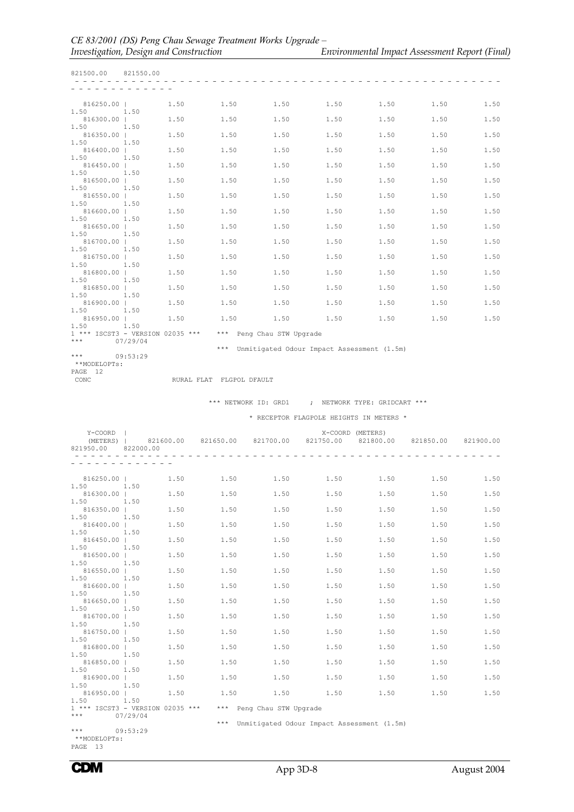| 821500.00 821550.00                      |              |           |                          |                                                               |                  |                                                                                  |           |      |
|------------------------------------------|--------------|-----------|--------------------------|---------------------------------------------------------------|------------------|----------------------------------------------------------------------------------|-----------|------|
|                                          |              |           |                          |                                                               |                  |                                                                                  |           |      |
| 816250.00                                |              |           |                          | $1.50$ $1.50$ $1.50$ $1.50$ $1.50$                            |                  |                                                                                  | 1.50 1.50 |      |
| 1.50 1.50<br>816300.00                   |              | 1.50 1.50 |                          |                                                               |                  | $1.50$ $1.50$ $1.50$                                                             | 1.50 1.50 |      |
| 1.50<br>1.50<br>816350.00                |              | 1.50      | 1.50                     | 1.50                                                          | 1.50             | 1.50                                                                             | 1.50      | 1.50 |
| 1.50 1.50<br>816400.00                   |              | 1.50      | 1.50                     | 1.50                                                          | 1.50             | 1.50                                                                             | 1.50      | 1.50 |
| 1.50<br>816450.00                        | 1.50         | 1.50      | 1.50<br>1.50             |                                                               | 1.50             | 1.50                                                                             | 1.50      | 1.50 |
| 1.50 1.50<br>816500.00                   |              | 1.50      | 1.50                     | 1.50                                                          | 1.50             | 1.50                                                                             | 1.50      | 1.50 |
| 1.50<br>816550.00                        | 1.50         | 1.50      | 1.50                     | 1.50                                                          | 1.50             | 1.50                                                                             | 1.50      | 1.50 |
| 1.50<br>816600.00                        | 1.50         | 1,50      | 1.50                     | 1.50                                                          | 1.50             | 1.50                                                                             | 1.50      | 1.50 |
| 1.50 1.50<br>816650.00                   |              | 1.50      | 1.50                     | 1.50                                                          | 1.50             | 1.50                                                                             | 1.50      | 1.50 |
| 1.50<br>816700.00                        | 1.50         | 1.50      | 1.50                     | 1.50                                                          | 1.50             | 1.50                                                                             | 1.50      | 1.50 |
| 1,50<br>816750.00                        | 1.50         | 1.50      | 1.50                     | 1.50                                                          | 1.50             | 1.50                                                                             | 1.50      | 1.50 |
| 1.50 1.50<br>816800.00                   |              | 1.50      | 1.50                     | 1.50                                                          | 1.50             | 1.50                                                                             | 1.50      | 1.50 |
| 1.50<br>816850.00                        | 1.50<br>1.50 | 1.50      | 1.50                     | $1.50$ $1.50$                                                 |                  | 1.50                                                                             | 1.50      | 1.50 |
| 1.50<br>816900.00  <br>1.50 1.50         |              |           |                          | $1.50$ $1.50$ $1.50$ $1.50$ $1.50$ $1.50$                     |                  |                                                                                  | 1.50      | 1.50 |
| 816950.00                                |              |           |                          |                                                               |                  | $1.50$ $1.50$ $1.50$ $1.50$ $1.50$ $1.50$                                        | 1.50      | 1.50 |
| 1.50 1.50<br>*** $07/29/04$              |              |           |                          | $1***$ ISCST3 - VERSION 02035 *** $***$ Peng Chau STW Upgrade |                  |                                                                                  |           |      |
|                                          |              |           |                          | *** Unmitigated Odour Impact Assessment (1.5m)                |                  |                                                                                  |           |      |
| $***$<br>**MODELOPTs:<br>PAGE 12<br>CONC | 09:53:29     |           | RURAL FLAT FLGPOL DFAULT |                                                               |                  |                                                                                  |           |      |
|                                          |              |           |                          |                                                               |                  |                                                                                  |           |      |
|                                          |              |           |                          | *** NETWORK ID: GRD1 ; NETWORK TYPE: GRIDCART ***             |                  |                                                                                  |           |      |
|                                          |              |           |                          | * RECEPTOR FLAGPOLE HEIGHTS IN METERS *                       |                  |                                                                                  |           |      |
| Y-COORD  <br>821950.00                   | 822000.00    |           |                          |                                                               | X-COORD (METERS) | (METERS)   821600.00 821650.00 821700.00 821750.00 821800.00 821850.00 821900.00 |           |      |
| - - - - - - - - -                        |              |           |                          |                                                               |                  | ---------------------------------                                                |           |      |
| 816250.00                                |              | 1.50      | 1.50                     | 1.50                                                          | 1.50<br>1.50     |                                                                                  | 1.50      | 1.50 |
| $1.50$ $1.50$<br>816300.00               |              | 1.50      |                          | $1.50$ $1.50$ $1.50$ $1.50$                                   |                  |                                                                                  | 1.50      | 1.50 |
| 1.50<br>816350.00                        | 1.50         | 1.50      | 1.50                     | 1.50                                                          | 1.50             | 1.50                                                                             | 1.50      | 1.50 |
| 1.50<br>816400.00                        | 1.50         | 1.50      | 1.50                     | 1.50                                                          | 1.50             | 1.50                                                                             | 1.50      | 1.50 |
| 1.50<br>816450.00                        | 1.50         | 1.50      | 1.50                     | 1.50                                                          | 1.50             | 1.50                                                                             | 1.50      | 1.50 |
| 1.50<br>816500.00                        | 1.50         | 1.50      | 1.50                     | 1.50                                                          | 1.50             | 1.50                                                                             | 1.50      | 1.50 |
| 1.50<br>816550.00                        | 1.50         | 1.50      | 1.50                     | 1.50                                                          | 1.50             | 1.50                                                                             | 1.50      | 1.50 |

1.50 1.50

 $1.50$   $1.50$ <br>816950.00 |

 \*\*MODELOPTs: PAGE 13

1.50 1.50

1.50 1.50

09:53:29

1.50 1.50 1 \*\*\* ISCST3 - VERSION 02035 \*\*\* \*\*\* Peng Chau STW Upgrade \*\*\* 07/29/04

\*\*\* Unmitigated Odour Impact Assessment (1.5m)<br>\*\*\* 09:53:29

1.50 1.50 816600.00 | 1.50 1.50 1.50 1.50 1.50 1.50 1.50

 $\begin{array}{ccccccc}\n 816650.00 & & & & & 1.50 \\
 816650.00 & & & & & 1.50 \\
 1.50 & & & & & 1.50\n \end{array}$   $\begin{array}{ccccccc}\n 1.50 & & & & 1.50 \\
 1.50 & & & & 1.50 \\
 1.50 & & & & 1.50\n \end{array}$ 

 $816700.00$  | 1.50  $1.50$   $1.50$   $1.50$   $1.50$   $1.50$   $1.50$   $1.50$   $1.50$ 1.50 1.50 816750.00 | 1.50 1.50 1.50 1.50 1.50 1.50 1.50 1.50 1.50 816800.00 | 1.50 1.50 1.50 1.50 1.50 1.50 1.50

 816850.00 | 1.50 1.50 1.50 1.50 1.50 1.50 1.50 1.50 1.50 816900.00 | 1.50 1.50 1.50 1.50 1.50 1.50 1.50

816950.00 | 1.50 1.50 1.50 1.50 1.50 1.50 1.50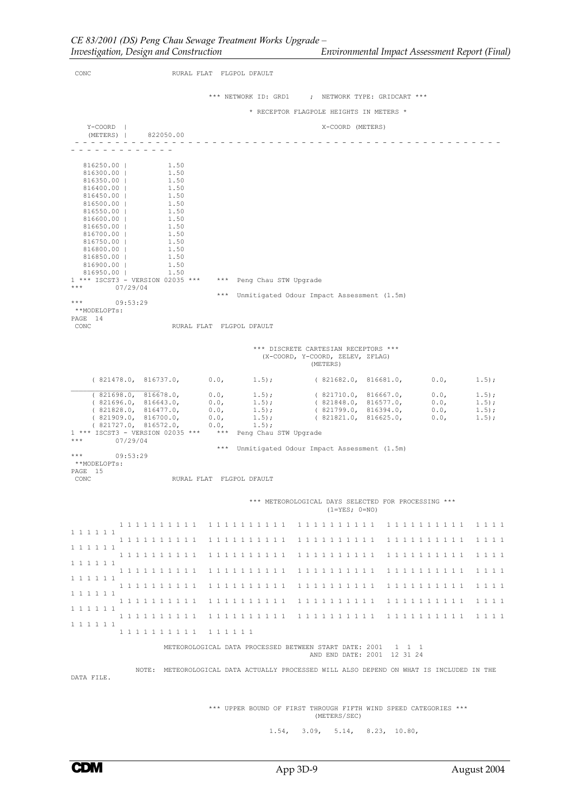| CONC                                                 |                                                                                          | RURAL FLAT FLGPOL DFAULT |                      |                                                                                      |                             |                     |                |
|------------------------------------------------------|------------------------------------------------------------------------------------------|--------------------------|----------------------|--------------------------------------------------------------------------------------|-----------------------------|---------------------|----------------|
|                                                      |                                                                                          |                          |                      | *** NETWORK ID: GRD1 ; NETWORK TYPE: GRIDCART ***                                    |                             |                     |                |
|                                                      |                                                                                          |                          |                      | * RECEPTOR FLAGPOLE HEIGHTS IN METERS *                                              |                             |                     |                |
| Y-COORD  <br>(METERS)   822050.00                    |                                                                                          |                          |                      | X-COORD (METERS)                                                                     |                             |                     |                |
|                                                      |                                                                                          |                          |                      |                                                                                      |                             |                     |                |
| 816250.00  <br>816300.00  <br>816350.00              | 1.50<br>1.50<br>1.50                                                                     |                          |                      |                                                                                      |                             |                     |                |
| 816400.00  <br>816450.00                             | 1.50<br>1.50                                                                             |                          |                      |                                                                                      |                             |                     |                |
| 816500.00  <br>816550.00  <br>816600.00              | 1.50<br>1.50<br>1.50                                                                     |                          |                      |                                                                                      |                             |                     |                |
| 816650.00                                            | 1.50                                                                                     |                          |                      |                                                                                      |                             |                     |                |
| 816700.00  <br>816750.00                             | 1.50<br>1.50                                                                             |                          |                      |                                                                                      |                             |                     |                |
| 816800.00  <br>816850.00                             | 1.50<br>1.50                                                                             |                          |                      |                                                                                      |                             |                     |                |
| 816900.00                                            | 1.50                                                                                     |                          |                      |                                                                                      |                             |                     |                |
| 816950.00                                            | 1.50<br>1 *** ISCST3 - VERSION 02035 *** *** Peng Chau STW Upgrade                       |                          |                      |                                                                                      |                             |                     |                |
| $\star \star \star$<br>07/29/04<br>$***$<br>09:53:29 |                                                                                          |                          |                      | *** Unmitigated Odour Impact Assessment (1.5m)                                       |                             |                     |                |
| **MODELOPTs:<br>PAGE 14                              |                                                                                          |                          |                      |                                                                                      |                             |                     |                |
| CONC                                                 |                                                                                          | RURAL FLAT FLGPOL DFAULT |                      |                                                                                      |                             |                     |                |
|                                                      |                                                                                          |                          |                      | *** DISCRETE CARTESIAN RECEPTORS ***<br>(X-COORD, Y-COORD, ZELEV, ZFLAG)<br>(METERS) |                             |                     |                |
| (821478.0, 816737.0,                                 |                                                                                          | 0.0,                     | $1.5)$ ;             |                                                                                      | (821682.0, 816681.0,        | 0.0,                | 1.5);          |
| (821698.0, 816678.0,<br>(821696.0, 816643.0,         |                                                                                          | 0.0,<br>0.0,             | $1.5$ ;<br>$1.5)$ ;  | (821710.0, 816667.0,<br>(821848.0, 816577.0,                                         |                             | 0.0,<br>0.0,        | 1.5);<br>1.5); |
| (821828.0, 816477.0,                                 |                                                                                          | 0.0,                     | $1.5)$ ;             | (821799.0, 816394.0,                                                                 |                             | 0.0,                | 1.5);          |
| (821909.0, 816700.0,                                 | (821727.0, 816572.0,                                                                     | 0.0,<br>0.0,             | $1.5)$ ;<br>$1.5)$ ; | (821821.0, 816625.0,                                                                 |                             | 0.0,                | $1.5$ ;        |
| ***<br>07/29/04                                      | 1 *** ISCST3 - VERSION 02035 *** *** Peng Chau STW Upgrade                               |                          |                      |                                                                                      |                             |                     |                |
| ***<br>09:53:29<br>**MODELOPTs:                      |                                                                                          |                          |                      | *** Unmitigated Odour Impact Assessment (1.5m)                                       |                             |                     |                |
| PAGE 15<br>CONC                                      |                                                                                          | RURAL FLAT FLGPOL DFAULT |                      |                                                                                      |                             |                     |                |
|                                                      |                                                                                          |                          |                      | *** METEOROLOGICAL DAYS SELECTED FOR PROCESSING ***<br>$(1 = YES; 0 = NO)$           |                             |                     |                |
|                                                      | 1 1 1 1 1 1 1 1 1 1                                                                      | 1 1 1 1 1 1 1 1 1 1      |                      | 1 1 1 1 1 1 1 1 1 1                                                                  |                             | 1 1 1 1 1 1 1 1 1 1 | 1 1 1 1        |
| 1 1 1 1 1 1<br>1 1 1 1 1 1                           | 1 1 1 1 1 1 1 1 1 1                                                                      | 1111111111               |                      |                                                                                      |                             |                     | 1 1 1 1        |
|                                                      | 1 1 1 1 1 1 1 1 1 1                                                                      | 1 1 1 1 1 1 1 1 1 1      |                      | 1111111111                                                                           |                             | 1 1 1 1 1 1 1 1 1 1 | 1 1 1 1        |
| 1 1 1 1 1 1                                          | 1 1 1 1 1 1 1 1 1 1                                                                      | 1 1 1 1 1 1 1 1 1 1      |                      | 1111111111                                                                           |                             | 1 1 1 1 1 1 1 1 1 1 | 1 1 1 1        |
| 1 1 1 1 1 1                                          | 1 1 1 1 1 1 1 1 1 1                                                                      | 1 1 1 1 1 1 1 1 1 1      |                      | 1111111111 1111111111                                                                |                             |                     | 1 1 1 1        |
| 1 1 1 1 1 1                                          | 1 1 1 1 1 1 1 1 1 1                                                                      | 1 1 1 1 1 1 1 1 1 1      |                      | 1 1 1 1 1 1 1 1 1 1                                                                  |                             | 1 1 1 1 1 1 1 1 1 1 | 1 1 1 1        |
| 1 1 1 1 1 1                                          | 1 1 1 1 1 1 1 1 1 1                                                                      |                          |                      |                                                                                      |                             |                     | 1 1 1 1        |
| 1 1 1 1 1 1                                          |                                                                                          |                          |                      |                                                                                      |                             |                     |                |
|                                                      | 1 1 1 1 1 1 1 1 1 1 1 1 1 1 1 1                                                          |                          |                      |                                                                                      |                             |                     |                |
|                                                      |                                                                                          |                          |                      | METEOROLOGICAL DATA PROCESSED BETWEEN START DATE: 2001 1 1 1                         | AND END DATE: 2001 12 31 24 |                     |                |
| DATA FILE.                                           | NOTE: METEOROLOGICAL DATA ACTUALLY PROCESSED WILL ALSO DEPEND ON WHAT IS INCLUDED IN THE |                          |                      |                                                                                      |                             |                     |                |
|                                                      |                                                                                          |                          |                      | *** UPPER BOUND OF FIRST THROUGH FIFTH WIND SPEED CATEGORIES ***<br>(METERS/SEC)     |                             |                     |                |
|                                                      |                                                                                          |                          | $1.54$ ,             | 3.09.                                                                                | 5.14, 8.23, 10.80,          |                     |                |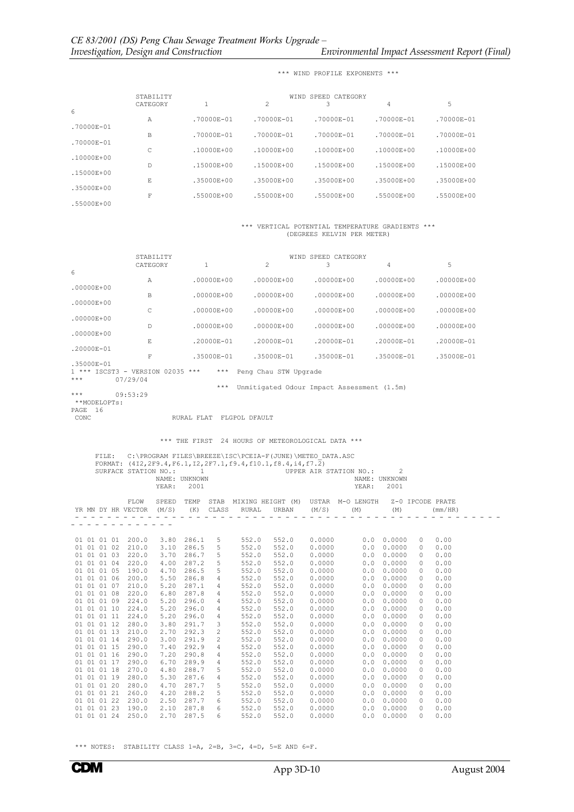|                | STABILITY |                |                | WIND SPEED CATEGORY |                |                |
|----------------|-----------|----------------|----------------|---------------------|----------------|----------------|
| 6              | CATEGORY  |                | $\overline{c}$ | 3                   | $\overline{4}$ | 5              |
| $.70000E - 01$ | Α         | .70000E-01     | $.70000E - 01$ | $.70000E - 01$      | $.70000E - 01$ | $.70000E - 01$ |
| $.70000E - 01$ | B         | $.70000E - 01$ | $.70000E - 01$ | $.70000E - 01$      | $.70000E - 01$ | $.70000E - 01$ |
| .10000E+00     | C         | .10000E+00     | $.10000E + 00$ | $.10000E + 00$      | $.10000E + 00$ | .10000E+00     |
| .15000E+00     | D         | .15000E+00     | $.15000E + 00$ | $.15000E + 00$      | $.15000E + 00$ | $.15000E + 00$ |
| $.35000E + 00$ | E.        | $.35000E + 00$ | $.35000E + 00$ | $.35000E + 00$      | $.35000E + 00$ | .35000E+00     |
| $.55000E + 00$ | F         | $.55000E + 00$ | $.55000E + 00$ | $.55000E + 00$      | $.55000E + 00$ | $.55000E + 00$ |

\*\*\* WIND PROFILE EXPONENTS \*\*\*

## \*\*\* VERTICAL POTENTIAL TEMPERATURE GRADIENTS \*\*\* (DEGREES KELVIN PER METER)

|                     | STABILITY<br>CATEGORY                        | 1              | $\mathfrak{D}$                             | WIND SPEED CATEGORY<br>3 | 4              | 5              |
|---------------------|----------------------------------------------|----------------|--------------------------------------------|--------------------------|----------------|----------------|
| 6                   |                                              |                |                                            |                          |                |                |
| $.00000E + 00$      | Α                                            | .00000E+00     | $.00000E + 00$                             | $.00000E + 00$           | $.00000E + 00$ | $.00000E + 00$ |
|                     | B                                            | $.00000E + 00$ | $.00000E + 00$                             | $.00000E + 00$           | $.00000E + 00$ | $.00000E + 00$ |
| $.00000E + 00$      | C                                            | $.00000E + 00$ | $.00000E + 00$                             | $.00000E + 00$           | $.00000E + 00$ | $.00000E + 00$ |
| $.00000E + 00$      | $\mathsf{D}$                                 | .00000E+00     | .00000E+00                                 | $.00000E + 00$           | $.00000E + 00$ | .00000E+00     |
| $.00000E + 00$      |                                              |                |                                            |                          |                |                |
| .20000E-01          | F.                                           | .20000E-01     | .20000E-01                                 | .20000E-01               | .20000E-01     | .20000E-01     |
| .35000E-01          | F                                            | .35000E-01     | .35000E-01                                 | .35000E-01               | .35000E-01     | .35000E-01     |
| $***$               | 1 *** ISCST3 - VERSION 02035 ***<br>07/29/04 | $***$          | Peng Chau STW Upgrade                      |                          |                |                |
|                     |                                              | ***            | Unmitigated Odour Impact Assessment (1.5m) |                          |                |                |
| ***<br>**MODELOPTs: | 09:53:29                                     |                |                                            |                          |                |                |
| 16<br>PAGE          |                                              |                |                                            |                          |                |                |

CONC RURAL FLAT FLGPOL DFAULT

\*\*\* THE FIRST 24 HOURS OF METEOROLOGICAL DATA \*\*\*

|                   | FILE: |       | NAME: UNKNOWN                               |            |                          |       | C:\PROGRAM FILES\BREEZE\ISC\PCEIA-F(JUNE)\METEO DATA.ASC<br>FORMAT: $(4I2, 2F9.4, F6.1, I2, 2F7.1, f9.4, f10.1, f8.4, i4, f7.2)$ |        | SURFACE STATION NO.: $1$ UPPER AIR STATION NO.:<br>NAME: UNKNOWN     | $\mathcal{L}$      |                  |         |  |
|-------------------|-------|-------|---------------------------------------------|------------|--------------------------|-------|----------------------------------------------------------------------------------------------------------------------------------|--------|----------------------------------------------------------------------|--------------------|------------------|---------|--|
|                   |       |       | YEAR:                                       | 2001       |                          |       |                                                                                                                                  |        | YEAR:                                                                | 2001               |                  |         |  |
|                   |       | FLOW  | SPEED<br>YR MN DY HR VECTOR (M/S) (K) CLASS | TEMP       |                          | RURAL |                                                                                                                                  |        | STAB MIXING HEIGHT (M) USTAR M-O LENGTH<br>URBAN $(M/S)$ $(M)$ $(M)$ |                    | Z-0 IPCODE PRATE | (mm/HR) |  |
|                   |       |       | ---------                                   |            | $\overline{\phantom{a}}$ | $ -$  | ------------                                                                                                                     |        |                                                                      |                    |                  |         |  |
|                   |       |       |                                             |            |                          |       |                                                                                                                                  |        |                                                                      |                    |                  |         |  |
| 01 01 01 01       |       | 200.0 | 3.80                                        | 286.1      | 5                        | 552.0 | 552.0                                                                                                                            | 0.0000 | 0.0                                                                  | 0.0000             | $\circ$          | 0.00    |  |
| 01 01 01 02       |       | 210.0 | 3.10                                        | 286.5      | 5                        | 552.0 | 552.0                                                                                                                            | 0.0000 | 0.0                                                                  | 0.0000             | $\circ$          | 0.00    |  |
| 01 01 01 03       |       | 220.0 | 3.70                                        | 286.7      | 5                        | 552.0 | 552.0                                                                                                                            | 0.0000 | 0.0                                                                  | 0.0000             | $\Omega$         | 0.00    |  |
| 01 01 01 04       |       | 220.0 | 4.00                                        | 287.2      | 5                        | 552.0 | 552.0                                                                                                                            | 0.0000 | 0.0                                                                  | 0.0000             | $\Omega$         | 0.00    |  |
| 01 01 01 05       |       | 190.0 | 4.70                                        | 286.5      | .5                       | 552.0 | 552.0                                                                                                                            | 0.0000 | 0.0                                                                  | 0.0000             | $\Omega$         | 0.00    |  |
| 01 01 01 06       |       | 200.0 | 5.50                                        | 286.8      | $\overline{4}$           | 552.0 | 552.0                                                                                                                            | 0.0000 | 0.0                                                                  | 0.0000             | $\Omega$         | 0.00    |  |
| 01 01 01 07       |       | 210.0 | 5.20                                        | 287.1      | 4                        | 552.0 | 552.0                                                                                                                            | 0.0000 | 0.0                                                                  | 0.0000             | $\Omega$         | 0.00    |  |
| 01 01 01 08       |       | 220.0 | 6.80                                        | 287.8      | 4                        | 552.0 | 552.0                                                                                                                            | 0.0000 | 0.0                                                                  | 0.0000             | $\circ$          | 0.00    |  |
| 01 01 01 09       |       | 224.0 | 5.20                                        | 296.0      | $\overline{4}$           | 552.0 | 552.0                                                                                                                            | 0.0000 | 0.0                                                                  | 0.0000             | $\circ$          | 0.00    |  |
| 01 01 01 10       |       | 224.0 | 5.20                                        | 296.0      | $\overline{4}$           | 552.0 | 552.0                                                                                                                            | 0.0000 | 0.0                                                                  | 0.0000             | $\circ$          | 0.00    |  |
| 01 01 01 11       |       | 224.0 | 5.20                                        | 296.0      | 4                        | 552.0 | 552.0                                                                                                                            | 0.0000 | 0.0                                                                  | 0.0000             | $\Omega$         | 0.00    |  |
| 01 01 01 12       |       | 280.0 | 3.80                                        | 291.7      | 3                        | 552.0 | 552.0                                                                                                                            | 0.0000 | 0.0                                                                  | 0.0000             | $\Omega$         | 0.00    |  |
| 01 01 01 13       |       | 210.0 | 2.70                                        | 292.3      | $\mathfrak{D}$           | 552.0 | 552.0                                                                                                                            | 0.0000 | 0.0                                                                  | 0.0000             | $\Omega$         | 0.00    |  |
| 01 01 01 14       |       | 290.0 | 3.00                                        | 291.9      | 2                        | 552.0 | 552.0                                                                                                                            | 0.0000 | 0.0                                                                  | 0.0000             | $\Omega$         | 0.00    |  |
| 01 01 01 15       |       | 290.0 | 7.40                                        | 292.9      | $\overline{4}$           | 552.0 | 552.0                                                                                                                            | 0.0000 | 0.0                                                                  | 0.0000             | 0                | 0.00    |  |
| 01 01 01 16       |       | 290.0 | 7.20                                        | 290.8      | $\overline{4}$           | 552.0 | 552.0                                                                                                                            | 0.0000 | 0.0                                                                  | 0.0000             | $\circ$          | 0.00    |  |
| 01 01 01 17       |       | 290.0 | 6.70                                        | 289.9      | $\overline{4}$           | 552.0 | 552.0                                                                                                                            | 0.0000 | 0.0                                                                  | 0.0000             | $\circ$          | 0.00    |  |
| 01 01 01 18       |       | 270.0 | 4.80                                        | 288.7      | 5                        | 552.0 | 552.0                                                                                                                            | 0.0000 | 0.0                                                                  | 0.0000             | 0                | 0.00    |  |
| 01 01 01 19       |       | 280.0 | 5.30                                        | 287.6      | $\overline{4}$           | 552.0 | 552.0                                                                                                                            | 0.0000 | 0.0                                                                  | 0.0000             | $\Omega$         | 0.00    |  |
| 01 01 01 20       |       | 280.0 | 4.70                                        | 287.7      | 5                        | 552.0 | 552.0                                                                                                                            | 0.0000 | 0.0                                                                  | 0.0000             | $\Omega$         | 0.00    |  |
| 01 01 01 21       |       | 260.0 | 4.20                                        | 288.2      | 5                        | 552.0 | 552.0                                                                                                                            | 0.0000 | 0.0                                                                  | 0.0000             | $\Omega$         | 0.00    |  |
| 01 01 01 22       |       | 230.0 | 2.50                                        | 287.7      | 6                        | 552.0 | 552.0                                                                                                                            | 0.0000 | 0.0                                                                  | 0.0000             | $\Omega$         | 0.00    |  |
| 01 01 01 23 190.0 |       |       |                                             | 2.10 287.8 | 6                        | 552.0 | 552.0                                                                                                                            | 0.0000 | 0.0                                                                  | 0.0000             | $\Omega$         | 0.00    |  |
| 01 01 01 24       |       | 250.0 |                                             | 2.70 287.5 | 6                        | 552.0 | 552.0                                                                                                                            | 0.0000 |                                                                      | $0.0 \quad 0.0000$ | $\Omega$         | 0.00    |  |

\*\*\* NOTES: STABILITY CLASS  $1=A$ ,  $2=B$ ,  $3=C$ ,  $4=D$ ,  $5=E$  AND  $6=F$ .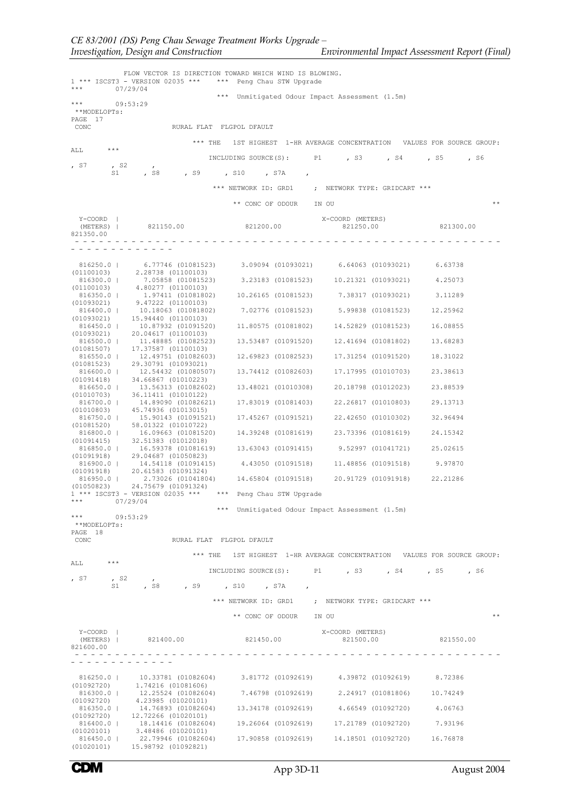| $***$                            | FLOW VECTOR IS DIRECTION TOWARD WHICH WIND IS BLOWING.<br>1 *** ISCST3 - VERSION 02035 *** *** Peng Chau STW Upgrade<br>07/29/04                                                                                                                                                       |                        |                                                                         |           |
|----------------------------------|----------------------------------------------------------------------------------------------------------------------------------------------------------------------------------------------------------------------------------------------------------------------------------------|------------------------|-------------------------------------------------------------------------|-----------|
|                                  |                                                                                                                                                                                                                                                                                        |                        | *** Unmitigated Odour Impact Assessment (1.5m)                          |           |
| * * *<br>**MODELOPTs:<br>PAGE 17 | 09:53:29                                                                                                                                                                                                                                                                               |                        |                                                                         |           |
| CONC                             | RURAL FLAT FLGPOL DFAULT                                                                                                                                                                                                                                                               |                        |                                                                         |           |
| $\star\star\star$<br>ALL         |                                                                                                                                                                                                                                                                                        |                        | *** THE 1ST HIGHEST 1-HR AVERAGE CONCENTRATION VALUES FOR SOURCE GROUP: |           |
|                                  |                                                                                                                                                                                                                                                                                        |                        | INCLUDING SOURCE(S): P1 , S3 , S4 , S5 , S6                             |           |
| , S7                             | $,$ S2<br>$\sim$ 1 $\sim$<br>, S8 , S9 , S10 , S7A ,<br>S1 and the set of the set of the set of the set of the set of the set of the set of the set of the set of the set of the set of the set of the set of the set of the set of the set of the set of the set of the set of the se |                        |                                                                         |           |
|                                  |                                                                                                                                                                                                                                                                                        |                        | *** NETWORK ID: GRD1 ; NETWORK TYPE: GRIDCART ***                       |           |
|                                  |                                                                                                                                                                                                                                                                                        | ** CONC OF ODOUR IN OU |                                                                         | $* *$     |
| Y-COORD                          |                                                                                                                                                                                                                                                                                        |                        | X-COORD (METERS)                                                        |           |
| 821350.00                        | (METERS)   821150.00 821200.00                                                                                                                                                                                                                                                         |                        | 821250.00                                                               | 821300.00 |
|                                  |                                                                                                                                                                                                                                                                                        |                        |                                                                         |           |
| 816250.0                         | 6.77746 (01081523)                                                                                                                                                                                                                                                                     |                        | 3.09094 (01093021) 6.64063 (01093021) 6.63738                           |           |
|                                  | (01100103) 2.28738 (01100103)<br>816300.0   7.05858 (01081523) 3.23183 (01081523) 10.21321 (01093021) 4.25073                                                                                                                                                                          |                        |                                                                         |           |
| (01100103)<br>816350.0           | 4,80277 (01100103)                                                                                                                                                                                                                                                                     |                        | 1.97411 (01081802) 10.26165 (01081523) 7.38317 (01093021) 3.11289       |           |
| (01093021)<br>816400.0           | 9.47222 (01100103)<br>10.18063 (01081802)                                                                                                                                                                                                                                              |                        | 7.02776 (01081523) 5.99838 (01081523)                                   | 12.25962  |
|                                  | $(01093021)$ 15.94440 $(01100103)$<br>816450.0   10.87932 (01091520)                                                                                                                                                                                                                   |                        | 11.80575 (01081802) 14.52829 (01081523)                                 | 16.08855  |
|                                  | $(01093021)$ 20.04617 (01100103)<br>816500.0   11.48885 (01082523)                                                                                                                                                                                                                     |                        | 13.53487 (01091520) 12.41694 (01081802)                                 | 13.68283  |
| (01081507)                       | 17.37587 (01100103)<br>816550.0   12.49751 (01082603)                                                                                                                                                                                                                                  |                        | 12.69823 (01082523) 17.31254 (01091520)                                 | 18.31022  |
|                                  | $(01081523)$ 29.30791 (01093021)<br>816600.0   12.54432 (01080507)                                                                                                                                                                                                                     |                        | 13.74412 (01082603) 17.17995 (01010703)                                 | 23.38613  |
|                                  | $(01091418)$ 34.66867 (01010223)<br>816650.0   13.56313 (01082602)                                                                                                                                                                                                                     |                        | 13.48021 (01010308) 20.18798 (01012023)                                 | 23.88539  |
|                                  | $(01010703)$ 36.11411 $(01010122)$<br>816700.0   14.89090 (01082621)                                                                                                                                                                                                                   |                        | 17.83019 (01081403) 22.26817 (01010803)                                 | 29.13713  |
|                                  | $(01010803)$ 45.74936 $(01013015)$<br>816750.0   15.90143 (01091521)                                                                                                                                                                                                                   |                        | 17.45267 (01091521) 22.42650 (01010302)                                 | 32.96494  |
|                                  | $(01081520)$ 58.01322 $(01010722)$<br>816800.0   16.09663 (01081520)                                                                                                                                                                                                                   |                        | 14.39248 (01081619) 23.73396 (01081619)                                 | 24.15342  |
|                                  | $(01091415)$ 32.51383 (01012018)<br>816850.0   16.59378 (01081619) 13.63043 (01091415) 9.52997 (01041721)                                                                                                                                                                              |                        |                                                                         | 25.02615  |
|                                  | $(01091918)$ 29.04687 $(01050823)$<br>816900.0   14.54118 (01091415)                                                                                                                                                                                                                   |                        | 4.43050 (01091518) 11.48856 (01091518)                                  | 9.97870   |
|                                  | $(01091918)$ 20.61583 $(01091324)$<br>816950.0   2.73026 (01041804)                                                                                                                                                                                                                    |                        | 14.65804 (01091518) 20.91729 (01091918)                                 | 22.21286  |
|                                  | $(01050823)$ 24.75679 $(01091324)$<br>1 *** ISCST3 - VERSION 02035 *** *** Peng Chau STW Upgrade                                                                                                                                                                                       |                        |                                                                         |           |
| *** 07/29/04                     |                                                                                                                                                                                                                                                                                        |                        |                                                                         |           |
| $\star \star \star$              | 09:53:29                                                                                                                                                                                                                                                                               |                        | *** Unmitigated Odour Impact Assessment (1.5m)                          |           |
| **MODELOPTs:<br>PAGE 18          |                                                                                                                                                                                                                                                                                        |                        |                                                                         |           |
| CONC                             | RURAL FLAT FLGPOL DFAULT                                                                                                                                                                                                                                                               |                        |                                                                         |           |
| $***$<br>ALL                     |                                                                                                                                                                                                                                                                                        |                        | *** THE 1ST HIGHEST 1-HR AVERAGE CONCENTRATION VALUES FOR SOURCE GROUP: |           |
|                                  |                                                                                                                                                                                                                                                                                        |                        | INCLUDING SOURCE(S): P1 , S3 , S4 , S5 , S6                             |           |
| , S7                             | , s2<br>$\overline{ }$<br>S1, S8, S9, S10, S7A,                                                                                                                                                                                                                                        |                        |                                                                         |           |
|                                  |                                                                                                                                                                                                                                                                                        |                        | *** NETWORK ID: GRD1 ; NETWORK TYPE: GRIDCART ***                       |           |
|                                  |                                                                                                                                                                                                                                                                                        | ** CONC OF ODOUR IN OU |                                                                         | $* *$     |
| Y-COORD                          |                                                                                                                                                                                                                                                                                        |                        | X-COORD (METERS)                                                        |           |
| (METERS)  <br>821600.00          | 821400.00 821450.00                                                                                                                                                                                                                                                                    |                        | 821500.00                                                               | 821550.00 |
|                                  | .                                                                                                                                                                                                                                                                                      |                        |                                                                         |           |
|                                  | $816250.0$   10.33781 (01082604) 3.81772 (01092619) 4.39872 (01092619) 8.72386 (01092720) 1.74216 (01081606)                                                                                                                                                                           |                        |                                                                         |           |
|                                  | $816300.0   12.25524 (01082604) 7.46798 (01092619) 2.24917 (01081806) 10.74249$<br>$(01092720)$ 4.23985 $(01020101)$                                                                                                                                                                   |                        |                                                                         |           |
|                                  | 816350.0   14.76893 (01082604) 13.34178 (01092619) 4.66549 (01092720) 4.06763<br>$(01092720)$ 12.72266 $(01020101)$                                                                                                                                                                    |                        |                                                                         |           |
|                                  | 816400.0   18.14416 (01082604) 19.26064 (01092619) 17.21789 (01092720) 7.93196 (01020101) 3.48486 (01020101)                                                                                                                                                                           |                        |                                                                         |           |
| 816450.0                         | $(01020101)$ 15.98792 (01092821)                                                                                                                                                                                                                                                       |                        | 22.79946 (01082604) 17.90858 (01092619) 14.18501 (01092720) 16.76878    |           |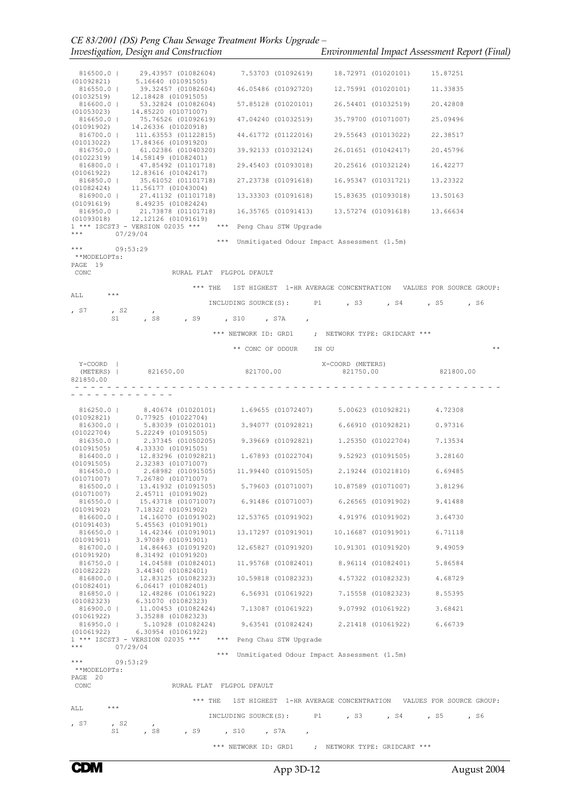| $\frac{1}{2}$ $\frac{1}{2}$ $\frac{1}{2}$ $\frac{1}{2}$ $\frac{1}{2}$ $\frac{1}{2}$ $\frac{1}{2}$ $\frac{1}{2}$ $\frac{1}{2}$ $\frac{1}{2}$ $\frac{1}{2}$ $\frac{1}{2}$ $\frac{1}{2}$ $\frac{1}{2}$ $\frac{1}{2}$ $\frac{1}{2}$ $\frac{1}{2}$ $\frac{1}{2}$ $\frac{1}{2}$ $\frac{1}{2}$ $\frac{1}{2}$ $\frac{1}{2}$ |                                                |  |
|---------------------------------------------------------------------------------------------------------------------------------------------------------------------------------------------------------------------------------------------------------------------------------------------------------------------|------------------------------------------------|--|
| Investigation, Design and Construction                                                                                                                                                                                                                                                                              | Environmental Impact Assessment Report (Final) |  |

|                          |              | 816500.0   29.43957 (01082604)<br>(01092821) 5.16640 (01091505)                                                                                                                 |                                                | 7.53703 (01092619) 18.72971 (01020101) 15.87251                         |           |
|--------------------------|--------------|---------------------------------------------------------------------------------------------------------------------------------------------------------------------------------|------------------------------------------------|-------------------------------------------------------------------------|-----------|
| 816550.0                 |              | 39.32457 (01082604)                                                                                                                                                             |                                                | 46.05486 (01092720) 12.75991 (01020101)                                 | 11.33835  |
|                          |              | $(01032519)$ 12.18428 (01091505)<br>816600.0   53.32824 (01082604)                                                                                                              |                                                | 57.85128 (01020101) 26.54401 (01032519)                                 | 20.42808  |
| (01053023)               |              | 14.85220 (01071007)<br>816650.0   75.76526 (01092619)                                                                                                                           |                                                | 47.04240 (01032519) 35.79700 (01071007)                                 | 25.09496  |
|                          |              | $(01091902)$ 14.26336 (01020918)<br>816700.0   111.63553 (01122815)                                                                                                             |                                                | 44.61772 (01122016) 29.55643 (01013022)                                 | 22.38517  |
|                          |              | $(01013022)$ 17.84366 (01091920)<br>816750.0   61.02386 (01040320)                                                                                                              |                                                |                                                                         | 20.45796  |
|                          |              | $(01022319)$ 14.58149 (01082401)<br>816800.0   47.85492 (01101718)                                                                                                              |                                                | 29.45403 (01093018) 20.25616 (01032124)                                 | 16.42277  |
|                          |              | $(01061922)$ 12.83616 $(01042417)$<br>816850.0   35.61052 (01101718)                                                                                                            |                                                | 27.23738 (01091618) 16.95347 (01031721)                                 | 13.23322  |
|                          |              | $(01082424)$ 11.56177 (01043004)                                                                                                                                                |                                                |                                                                         |           |
|                          |              | $816900.0$   27.41132 (01101718) 13.33303 (01091618) 15.83635 (01093018) 13.50163 (01091619) 8.49235 (01082424)                                                                 |                                                |                                                                         |           |
|                          |              | 816950.0   21.73878 (01101718)<br>$(01093018)$ 12.12126 (01091619)                                                                                                              |                                                | 16.35765 (01091413) 13.57274 (01091618) 13.66634                        |           |
| ***                      | 07/29/04     | $1$ *** ISCST3 - VERSION 02035 *** *** Peng Chau STW Upgrade                                                                                                                    |                                                |                                                                         |           |
| $***$                    |              | 09:53:29                                                                                                                                                                        | *** Unmitigated Odour Impact Assessment (1.5m) |                                                                         |           |
| **MODELOPTs:<br>PAGE 19  |              |                                                                                                                                                                                 |                                                |                                                                         |           |
| CONC                     |              | RURAL FLAT FLGPOL DFAULT                                                                                                                                                        |                                                |                                                                         |           |
| ALL                      | ***          |                                                                                                                                                                                 |                                                | *** THE 1ST HIGHEST 1-HR AVERAGE CONCENTRATION VALUES FOR SOURCE GROUP: |           |
|                          |              |                                                                                                                                                                                 |                                                | INCLUDING SOURCE(S): P1, S3, S4, S5, S6                                 |           |
| , S7                     | $,$ S2<br>S1 | $\mathbf{r}$                                                                                                                                                                    | , S8, , S9, , S10, , S7A, ,                    |                                                                         |           |
|                          |              |                                                                                                                                                                                 |                                                | *** NETWORK ID: GRD1 ; NETWORK TYPE: GRIDCART ***                       |           |
|                          |              |                                                                                                                                                                                 | ** CONC OF ODOUR IN OU                         |                                                                         | $* *$     |
| Y-COORD                  |              |                                                                                                                                                                                 |                                                | X-COORD (METERS)                                                        |           |
| (METERS)  <br>821850.00  |              | 821650.00 821700.00                                                                                                                                                             |                                                | 821750.00                                                               | 821800.00 |
|                          |              | . <u>.</u> .                                                                                                                                                                    |                                                |                                                                         |           |
|                          |              |                                                                                                                                                                                 |                                                |                                                                         |           |
|                          |              | $(01092821) \qquad 8.40674 \quad (01020101) \qquad 1.69655 \quad (01072407) \qquad 5.00623 \quad (01092821) \qquad 4.72308$ $(01092821) \qquad 0.77925 \quad (01022704)$        |                                                |                                                                         |           |
|                          |              | 5.83039 (01020101) 3.94077 (01092821) 6.66910 (01092821) 0.97316<br>$(01020101)$ $(01022704)$ $(0.0001505)$ $(0.0001505)$ $(0.0001505)$                                         |                                                |                                                                         |           |
| 816350.0                 |              | 2.37345 (01050205) 9.39669 (01092821) 1.25350 (01022704) 7.13534<br>$(01091505)$ 4.33330 $(01091505)$                                                                           |                                                |                                                                         |           |
|                          |              | $816400.0$   12.83296 (01092821) 1.67893 (01022704) 9.52923 (01091505) 3.28160 (01091505) 2.32383 (01071007)                                                                    |                                                |                                                                         |           |
|                          |              | 2.68982 (01091505) 11.99440 (01091505) 2.19244 (01021810) 6.69485<br>$\begin{array}{cccc} 816450.0 &  & 2.68982 & (01091505 \\ (01071007) & & 7.26780 & (01071007) \end{array}$ |                                                |                                                                         |           |
| 816500.0                 |              | 13.41932 (01091505) 5.79603 (01071007) 10.87589 (01071007) 3.81296                                                                                                              |                                                |                                                                         |           |
| (01071007)<br>$816550.0$ |              | 2.45711 (01091902)<br>15.43718 (01071007)                                                                                                                                       |                                                | 6.91486 (01071007) 6.26565 (01091902)                                   | 9.41488   |
| (01091902)<br>816600.0   |              | 7.18322 (01091902)<br>14.16070 (01091902)                                                                                                                                       |                                                | 12.53765 (01091902) 4.91976 (01091902)                                  | 3.64730   |
| (01091403)<br>816650.0   |              | 5.45563 (01091901)<br>14,42346 (01091901)                                                                                                                                       |                                                | 13.17297 (01091901) 10.16687 (01091901)                                 | 6.71118   |
| (01091901)<br>816700.0   |              | 3.97089 (01091901)<br>14.86463 (01091920)                                                                                                                                       |                                                | 12.65827 (01091920) 10.91301 (01091920)                                 | 9.49059   |
| (01091920)<br>816750.0   |              | 8.31492 (01091920)<br>14.04588 (01082401)                                                                                                                                       |                                                | 11.95768 (01082401) 8.96114 (01082401)                                  | 5.86584   |
| (01082222)               |              | 3.44340 (01082401)<br>816800.0   12.83125 (01082323) 10.59818 (01082323) 4.57322 (01082323)                                                                                     |                                                |                                                                         | 4.68729   |
| (01082401)               |              | 6.06417 (01082401)<br>12.48286 (01061922)                                                                                                                                       |                                                | 6.56931 (01061922) 7.15558 (01082323) 8.55395                           |           |
| 816850.0  <br>(01082323) |              | 6.31070 (01082323)                                                                                                                                                              |                                                |                                                                         |           |
| 816900.0  <br>(01061922) |              | 11.00453 (01082424)<br>3.35288 (01082323)                                                                                                                                       | 7.13087 (01061922)                             | 9.07992 (01061922)                                                      | 3.68421   |
| 816950.0                 |              | $(01061922)$ 6.30954 (01061922)                                                                                                                                                 |                                                | 5.10928 (01082424) 9.63541 (01082424) 2.21418 (01061922) 6.66739        |           |
| $***$                    |              | 1 *** ISCST3 - VERSION 02035 *** *** Peng Chau STW Upgrade<br>07/29/04                                                                                                          |                                                |                                                                         |           |
| ***                      |              | 09:53:29                                                                                                                                                                        | *** Unmitigated Odour Impact Assessment (1.5m) |                                                                         |           |
| **MODELOPTs:             |              |                                                                                                                                                                                 |                                                |                                                                         |           |
| PAGE 20<br>CONC          |              | RURAL FLAT FLGPOL DFAULT                                                                                                                                                        |                                                |                                                                         |           |
|                          |              |                                                                                                                                                                                 |                                                | *** THE 1ST HIGHEST 1-HR AVERAGE CONCENTRATION VALUES FOR SOURCE GROUP: |           |
| ALL                      | ***          |                                                                                                                                                                                 |                                                | INCLUDING SOURCE(S): P1, S3, S4, S5                                     | , S6      |
| , S7                     | $,$ S2<br>S1 | $\mathcal{L}$<br>, S8                                                                                                                                                           | , S9, , S10, S7A,                              |                                                                         |           |
|                          |              |                                                                                                                                                                                 |                                                | *** NETWORK ID: GRD1 ; NETWORK TYPE: GRIDCART ***                       |           |
|                          |              |                                                                                                                                                                                 |                                                |                                                                         |           |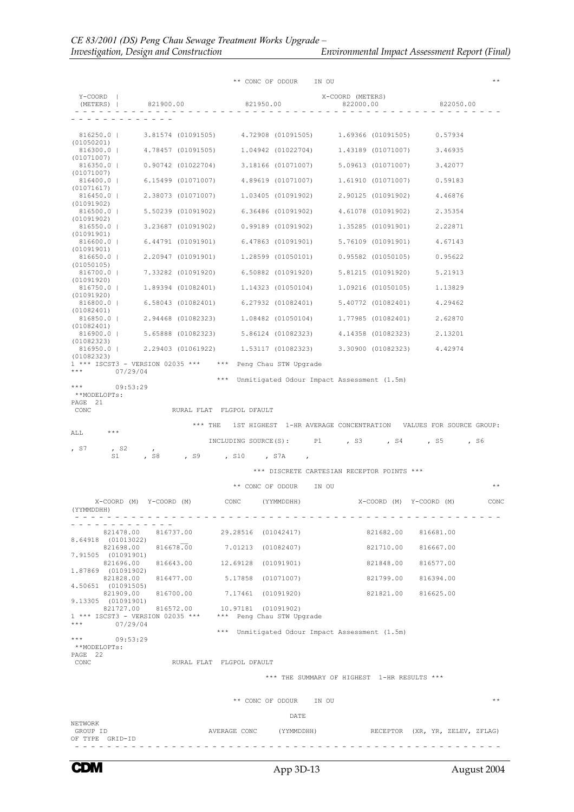|                                                     |                                             | ** CONC OF ODOUR                                                                                      | IN OU                                                                                                                | $* *$                           |
|-----------------------------------------------------|---------------------------------------------|-------------------------------------------------------------------------------------------------------|----------------------------------------------------------------------------------------------------------------------|---------------------------------|
| $Y$ – $COORD$                                       | (METERS)   821900.00                        | 821950.00                                                                                             | X-COORD (METERS)<br>822000.00                                                                                        | 822050.00                       |
|                                                     |                                             |                                                                                                       |                                                                                                                      |                                 |
| 816250.0  <br>(01050201)                            |                                             | 3.81574 (01091505) 4.72908 (01091505)                                                                 | 1,69366 (01091505)                                                                                                   | 0.57934                         |
| 816300.0                                            |                                             | 4.78457 (01091505) 1.04942 (01022704)                                                                 | 1,43189 (01071007)                                                                                                   | 3.46935                         |
| (01071007)<br>$816350.0$                            | 0.90742 (01022704)                          | 3.18166 (01071007)                                                                                    | 5.09613 (01071007)                                                                                                   | 3.42077                         |
| (01071007)<br>816400.0                              | 6.15499 (01071007)                          | 4.89619 (01071007)                                                                                    | 1.61910 (01071007)                                                                                                   | 0.59183                         |
| (01071617)<br>$816450.0$                            | 2.38073 (01071007)                          | 1.03405 (01091902)                                                                                    | 2,90125 (01091902)                                                                                                   | 4.46876                         |
| (01091902)<br>$816500.0$                            | 5.50239 (01091902)                          | 6.36486 (01091902)                                                                                    | 4.61078 (01091902)                                                                                                   | 2.35354                         |
| (01091902)<br>$816550.0$                            | 3.23687 (01091902)                          | 0.99189 (01091902)                                                                                    | 1,35285 (01091901)                                                                                                   | 2.22871                         |
| (01091901)<br>816600.0                              | 6.44791 (01091901)                          | 6.47863 (01091901)                                                                                    | 5.76109 (01091901)                                                                                                   | 4.67143                         |
| (01091901)<br>816650.0                              | 2,20947 (01091901)                          | 1.28599 (01050101)                                                                                    | 0.95582 (01050105)                                                                                                   | 0.95622                         |
| (01050105)<br>816700.0                              | 7.33282 (01091920)                          | 6.50882 (01091920)                                                                                    | 5.81215 (01091920)                                                                                                   | 5.21913                         |
| (01091920)<br>816750.0                              | 1,89394 (01082401)                          | 1.14323 (01050104)                                                                                    | 1,09216 (01050105)                                                                                                   | 1.13829                         |
| (01091920)<br>816800.0                              | 6.58043 (01082401)                          | 6.27932 (01082401)                                                                                    | 5.40772 (01082401)                                                                                                   | 4.29462                         |
| (01082401)                                          |                                             |                                                                                                       | 1.77985 (01082401)                                                                                                   |                                 |
| 816850.0  <br>(01082401)                            |                                             | 2,94468 (01082323) 1,08482 (01050104)                                                                 |                                                                                                                      | 2.62870                         |
| 816900.0  <br>(01082323)                            | 5.65888 (01082323)                          | 5.86124 (01082323)                                                                                    | 4,14358 (01082323)                                                                                                   | 2.13201                         |
| $816950.0$  <br>(01082323)                          | 2,29403 (01061922)                          |                                                                                                       | 1.53117 (01082323) 3.30900 (01082323)                                                                                | 4.42974                         |
| ***<br>07/29/04                                     |                                             | 1 *** ISCST3 - VERSION 02035 *** *** Peng Chau STW Upgrade                                            |                                                                                                                      |                                 |
| PAGE 21<br>CONC<br>***<br>ALL<br>, s7<br>, s2<br>S1 | $***$ THE<br>$\overline{ }$<br>, S8<br>, S9 | RURAL FLAT FLGPOL DFAULT<br>, S10<br>, S7A                                                            | 1ST HIGHEST 1-HR AVERAGE CONCENTRATION VALUES FOR SOURCE GROUP:<br>INCLUDING SOURCE(S): P1, S3, S4<br>$\overline{ }$ | , S5<br>, S6                    |
|                                                     |                                             |                                                                                                       | *** DISCRETE CARTESIAN RECEPTOR POINTS ***                                                                           |                                 |
|                                                     |                                             | ** CONC OF ODOUR                                                                                      | IN OU                                                                                                                | $* *$                           |
| (YYMMDDHH)                                          | X-COORD (M) Y-COORD (M)                     | CONC.<br>(YYMMDDHH)                                                                                   |                                                                                                                      | X-COORD (M) Y-COORD (M)<br>CONC |
| 821478.00                                           |                                             | 816737.00 29.28516 (01042417)                                                                         | 821682.00                                                                                                            | 816681.00                       |
| 8.64918 (01013022)                                  |                                             | 821698.00 816678.00 7.01213 (01082407)                                                                |                                                                                                                      | 821710.00 816667.00             |
| 7.91505 (01091901)                                  |                                             | 821696.00 816643.00 12.69128 (01091901)                                                               | 821848.00                                                                                                            | 816577.00                       |
| 1,87869 (01091902)                                  |                                             | 821828.00 816477.00 5.17858 (01071007)                                                                |                                                                                                                      | 821799.00 816394.00             |
| 4.50651 (01091505)                                  |                                             | 821909.00 816700.00 7.17461 (01091920)                                                                |                                                                                                                      | 821821.00 816625.00             |
| 9.13305 (01091901)                                  |                                             | 821727.00 816572.00 10.97181 (01091902)<br>1 *** ISCST3 - VERSION 02035 *** *** Peng Chau STW Upgrade |                                                                                                                      |                                 |
| ***<br>07/29/04                                     |                                             |                                                                                                       | *** Unmitigated Odour Impact Assessment (1.5m)                                                                       |                                 |
| * * *<br>09:53:29<br>**MODELOPTs:<br>PAGE 22        |                                             |                                                                                                       |                                                                                                                      |                                 |
| CONC                                                |                                             | RURAL FLAT FLGPOL DFAULT                                                                              |                                                                                                                      |                                 |
|                                                     |                                             |                                                                                                       | *** THE SUMMARY OF HIGHEST 1-HR RESULTS ***                                                                          |                                 |
|                                                     |                                             | ** CONC OF ODOUR IN OU                                                                                |                                                                                                                      | $* *$                           |
|                                                     |                                             | DATE                                                                                                  |                                                                                                                      |                                 |
| NETWORK<br>GROUP ID<br>OF TYPE GRID-ID              |                                             | AVERAGE CONC (YYMMDDHH)                                                                               |                                                                                                                      | RECEPTOR (XR, YR, ZELEV, ZFLAG) |

- - - - - - - - - - - - - - - - - - - - - - - - - - - - - - - - - - - - - - - - - - - - - - - - - - - - -